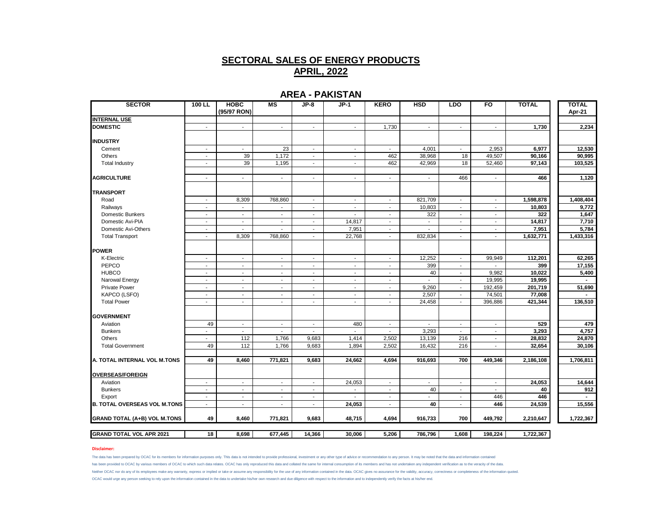### **AREA - PAKISTAN**

| <b>SECTOR</b>                       | $100$ LL                 | <b>HOBC</b><br>(95/97 RON) | M <sub>S</sub>           | JP-8                        | $JP-1$                   | <b>KERO</b>              | <b>HSD</b>     | <b>LDO</b>               | F <sub>O</sub>           | <b>TOTAL</b> | <b>TOTAL</b><br>Apr-21 |
|-------------------------------------|--------------------------|----------------------------|--------------------------|-----------------------------|--------------------------|--------------------------|----------------|--------------------------|--------------------------|--------------|------------------------|
| <b>INTERNAL USE</b>                 |                          |                            |                          |                             |                          |                          |                |                          |                          |              |                        |
| <b>DOMESTIC</b>                     | $\sim$                   | $\overline{\phantom{a}}$   | $\blacksquare$           | $\sim$                      | $\sim$                   | 1,730                    | $\sim$         | $\blacksquare$           | $\sim$                   | 1,730        | 2,234                  |
| <b>INDUSTRY</b>                     |                          |                            |                          |                             |                          |                          |                |                          |                          |              |                        |
| Cement                              | $\sim$                   | $\mathbf{r}$               | 23                       | $\mathcal{L}_{\mathcal{A}}$ | $\mathbf{r}$             | $\sim$                   | 4,001          | $\sim$                   | 2,953                    | 6,977        | 12,530                 |
| Others                              | $\overline{\phantom{a}}$ | 39                         | 1,172                    | $\blacksquare$              | $\overline{\phantom{a}}$ | 462                      | 38,968         | 18                       | 49,507                   | 90,166       | 90,995                 |
| <b>Total Industry</b>               | $\overline{\phantom{a}}$ | 39                         | 1,195                    | $\blacksquare$              | $\blacksquare$           | 462                      | 42,969         | 18                       | 52,460                   | 97,143       | 103,525                |
| <b>AGRICULTURE</b>                  | $\mathbf{r}$             | $\mathbf{r}$               | $\mathbf{r}$             | $\mathcal{L}$               | $\mathbf{r}$             | $\overline{\phantom{a}}$ | $\sim$         | 466                      | $\blacksquare$           | 466          | 1,120                  |
| <b>TRANSPORT</b>                    |                          |                            |                          |                             |                          |                          |                |                          |                          |              |                        |
| Road                                | $\sim$                   | 8,309                      | 768,860                  | $\sim$                      | $\sim$                   | $\sim$                   | 821,709        | $\blacksquare$           | $\sim$                   | 1,598,878    | 1,408,404              |
| Railways                            | $\sim$                   | $\blacksquare$             | $\overline{\phantom{a}}$ | $\sim$                      | $\sim$                   | $\sim$                   | 10,803         | $\sim$                   | $\sim$                   | 10,803       | 9,772                  |
| Domestic Bunkers                    | $\overline{\phantom{a}}$ | $\overline{\phantom{a}}$   | $\overline{\phantom{a}}$ | $\overline{\phantom{a}}$    | $\overline{\phantom{a}}$ | $\overline{\phantom{a}}$ | 322            | $\overline{\phantom{a}}$ | $\sim$                   | 322          | 1,647                  |
| Domestic Avi-PIA                    | $\sim$                   | $\blacksquare$             | ٠                        | $\overline{\phantom{a}}$    | 14,817                   | $\blacksquare$           | $\blacksquare$ | $\overline{\phantom{a}}$ | ٠                        | 14,817       | 7,710                  |
| Domestic Avi-Others                 | $\overline{\phantom{a}}$ | $\blacksquare$             | $\overline{\phantom{a}}$ | $\blacksquare$              | 7,951                    | $\overline{\phantom{a}}$ | $\blacksquare$ | $\sim$                   | $\sim$                   | 7,951        | 5,784                  |
| <b>Total Transport</b>              | $\sim$                   | 8,309                      | 768,860                  | $\mathcal{L}$               | 22,768                   | $\overline{\phantom{a}}$ | 832,834        | $\mathbf{r}$             | $\blacksquare$           | 1,632,771    | 1,433,316              |
| <b>IPOWER</b>                       |                          |                            |                          |                             |                          |                          |                |                          |                          |              |                        |
| K-Electric                          | $\overline{\phantom{a}}$ | $\overline{\phantom{a}}$   | $\overline{\phantom{a}}$ | $\sim$                      | $\sim$                   | $\overline{\phantom{a}}$ | 12,252         | $\overline{\phantom{a}}$ | 99,949                   | 112,201      | 62,265                 |
| PEPCO                               | $\overline{\phantom{a}}$ | $\sim$                     | $\overline{\phantom{a}}$ | $\sim$                      | $\overline{\phantom{a}}$ | $\sim$                   | 399            | $\sim$                   | $\overline{\phantom{a}}$ | 399          | 17,155                 |
| <b>HUBCO</b>                        | $\sim$                   | $\sim$                     | $\sim$                   | $\blacksquare$              | $\sim$                   | $\overline{\phantom{a}}$ | 40             | $\sim$                   | 9,982                    | 10,022       | 5,400                  |
| Narowal Energy                      | $\sim$                   | $\overline{\phantom{a}}$   | $\overline{a}$           | $\overline{\phantom{a}}$    | $\sim$                   | $\sim$                   |                | $\mathbf{r}$             | 19,995                   | 19,995       |                        |
| <b>Private Power</b>                | $\overline{\phantom{a}}$ | $\blacksquare$             | $\sim$                   | $\blacksquare$              | $\overline{\phantom{a}}$ | $\overline{\phantom{a}}$ | 9,260          | $\overline{\phantom{a}}$ | 192,459                  | 201,719      | 51,690                 |
| KAPCO (LSFO)                        | $\sim$                   | $\overline{\phantom{a}}$   | $\sim$                   | $\sim$                      | $\sim$                   | $\overline{\phantom{a}}$ | 2,507          | $\overline{\phantom{a}}$ | 74,501                   | 77,008       |                        |
| <b>Total Power</b>                  | $\sim$                   | $\sim$                     | $\mathbf{r}$             | $\sim$                      | $\sim$                   | $\overline{\phantom{a}}$ | 24,458         | $\sim$                   | 396,886                  | 421,344      | 136,510                |
| <b>GOVERNMENT</b>                   |                          |                            |                          |                             |                          |                          |                |                          |                          |              |                        |
| Aviation                            | 49                       | $\sim$                     | $\sim$                   | $\sim$                      | 480                      | $\sim$                   | $\sim$         | $\sim$                   | $\sim$                   | 529          | 479                    |
| <b>Bunkers</b>                      | $\overline{\phantom{a}}$ | $\sim$                     | $\sim$                   | $\sim$                      | $\sim$                   | $\sim$                   | 3,293          | $\sim$                   | $\sim$                   | 3,293        | 4,757                  |
| Others                              | $\sim$                   | 112                        | 1,766                    | 9,683                       | 1,414                    | 2,502                    | 13,139         | 216                      | $\mathbf{r}$             | 28,832       | 24,870                 |
| <b>Total Government</b>             | 49                       | 112                        | 1,766                    | 9,683                       | 1,894                    | 2,502                    | 16,432         | 216                      | $\overline{\phantom{0}}$ | 32,654       | 30,106                 |
| A. TOTAL INTERNAL VOL M.TONS        | 49                       | 8,460                      | 771,821                  | 9,683                       | 24,662                   | 4,694                    | 916,693        | 700                      | 449,346                  | 2,186,108    | 1,706,811              |
| <b>OVERSEAS/FOREIGN</b>             |                          |                            |                          |                             |                          |                          |                |                          |                          |              |                        |
| Aviation                            | $\sim$                   | $\sim$                     | $\sim$                   | $\sim$                      | 24,053                   | $\overline{\phantom{a}}$ | $\sim$         | $\sim$                   | $\sim$                   | 24,053       | 14,644                 |
| <b>Bunkers</b>                      | $\overline{\phantom{a}}$ | $\blacksquare$             | $\blacksquare$           | $\sim$                      | $\tilde{\phantom{a}}$    | $\overline{\phantom{a}}$ | 40             | $\overline{\phantom{a}}$ | $\overline{\phantom{a}}$ | 40           | 912                    |
| Export                              | $\mathbf{r}$             | $\overline{a}$             | $\sim$                   | $\mathcal{L}$               | $\overline{a}$           | $\overline{\phantom{a}}$ | $\overline{a}$ | $\mathbf{r}$             | 446                      | 446          |                        |
| <b>B. TOTAL OVERSEAS VOL M.TONS</b> | $\mathbf{r}$             | $\blacksquare$             | $\overline{\phantom{a}}$ | $\overline{\phantom{a}}$    | 24,053                   | $\sim$                   | 40             | $\mathbf{r}$             | 446                      | 24,539       | 15,556                 |
| <b>GRAND TOTAL (A+B) VOL M.TONS</b> | 49                       | 8,460                      | 771,821                  | 9,683                       | 48,715                   | 4,694                    | 916,733        | 700                      | 449,792                  | 2,210,647    | 1,722,367              |
| <b>GRAND TOTAL VOL APR 2021</b>     | 18                       | 8,698                      | 677,445                  | 14,366                      | 30,006                   | 5,206                    | 786,796        | 1,608                    | 198,224                  | 1,722,367    |                        |
|                                     |                          |                            |                          |                             |                          |                          |                |                          |                          |              |                        |

### **Disclaimer:**

The data has been prepared by OCAC for its members for information purposes only. This data is not intended to provide professional, investment or any other type of advice or recommendation to any person. It may be noted t has been provided to OCAC by various members of OCAC to which such data relates. OCAC has only reproduced this data and collated the same for internal consumption of its members and has not undertaken any independent verif Neither OCAC nor do any of its employees make any warranty, express or implied or take or assume any responsibility for the use of any information contained in the data. OCAC gives no assurance for the validity, accuracy, OCAC would urge any person seeking to rely upon the information contained in the data to undertake his/her own research and due diligence with respect to the information and to independently verify the facts at his/her end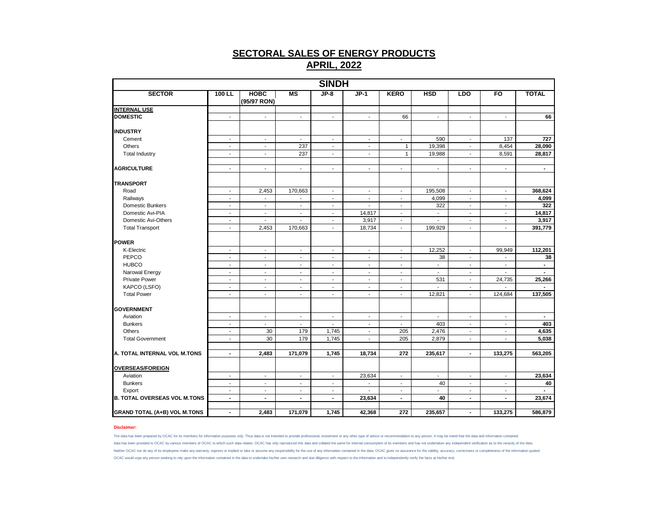|                                     |                          |                            |                          | <b>SINDH</b>             |                          |                          |                          |                          |                          |                |
|-------------------------------------|--------------------------|----------------------------|--------------------------|--------------------------|--------------------------|--------------------------|--------------------------|--------------------------|--------------------------|----------------|
| <b>SECTOR</b>                       | 100 LL                   | <b>HOBC</b><br>(95/97 RON) | MS                       | $JP-8$                   | $JP-1$                   | <b>KERO</b>              | <b>HSD</b>               | LDO                      | FO                       | <b>TOTAL</b>   |
| <b>INTERNAL USE</b>                 |                          |                            |                          |                          |                          |                          |                          |                          |                          |                |
| <b>DOMESTIC</b>                     | $\overline{\phantom{a}}$ | $\overline{\phantom{a}}$   | $\sim$                   | $\overline{\phantom{a}}$ | $\sim$                   | 66                       | $\overline{\phantom{a}}$ | $\overline{\phantom{a}}$ | $\overline{\phantom{a}}$ | 66             |
| <b>INDUSTRY</b>                     |                          |                            |                          |                          |                          |                          |                          |                          |                          |                |
| Cement                              | $\overline{\phantom{a}}$ | $\overline{\phantom{a}}$   | $\blacksquare$           | $\overline{\phantom{a}}$ | $\overline{\phantom{a}}$ | $\overline{\phantom{a}}$ | 590                      | $\overline{\phantom{a}}$ | 137                      | 727            |
| Others                              | $\sim$                   | $\sim$                     | 237                      | $\overline{\phantom{a}}$ | $\sim$                   | $\mathbf{1}$             | 19,398                   | $\sim$                   | 8,454                    | 28,090         |
| <b>Total Industry</b>               | $\blacksquare$           | $\blacksquare$             | 237                      | $\blacksquare$           | $\blacksquare$           | $\mathbf{1}$             | 19,988                   | $\blacksquare$           | 8,591                    | 28,817         |
| <b>AGRICULTURE</b>                  | $\blacksquare$           | $\overline{\phantom{a}}$   | $\mathbf{r}$             | $\overline{\phantom{a}}$ | $\blacksquare$           | $\blacksquare$           | $\overline{\phantom{a}}$ | $\sim$                   | $\blacksquare$           | $\blacksquare$ |
| <b>TRANSPORT</b>                    |                          |                            |                          |                          |                          |                          |                          |                          |                          |                |
| Road                                | $\blacksquare$           | 2,453                      | 170,663                  | $\overline{\phantom{a}}$ | $\blacksquare$           | $\overline{\phantom{a}}$ | 195,508                  | $\blacksquare$           | $\overline{\phantom{a}}$ | 368,624        |
| Railways                            | $\overline{\phantom{a}}$ | $\blacksquare$             |                          | $\overline{\phantom{a}}$ | $\overline{\phantom{a}}$ | $\blacksquare$           | 4,099                    | $\overline{\phantom{a}}$ | $\overline{\phantom{a}}$ | 4,099          |
| Domestic Bunkers                    | $\sim$                   | $\sim$                     | $\sim$                   | $\sim$                   | $\blacksquare$           | $\blacksquare$           | 322                      | $\sim$                   | $\sim$                   | 322            |
| Domestic Avi-PIA                    | $\overline{\phantom{a}}$ | $\overline{\phantom{a}}$   | $\sim$                   | $\overline{\phantom{a}}$ | 14,817                   | $\overline{\phantom{a}}$ | $\overline{\phantom{a}}$ | $\overline{\phantom{a}}$ | $\overline{\phantom{a}}$ | 14,817         |
| Domestic Avi-Others                 | $\sim$                   | $\overline{a}$             |                          | $\sim$                   | 3,917                    | $\blacksquare$           |                          | $\blacksquare$           | $\blacksquare$           | 3,917          |
| <b>Total Transport</b>              | $\overline{\phantom{a}}$ | 2,453                      | 170,663                  | $\overline{\phantom{a}}$ | 18,734                   | $\overline{\phantom{a}}$ | 199,929                  | $\overline{\phantom{a}}$ | $\overline{\phantom{a}}$ | 391,779        |
| <b>POWER</b>                        |                          |                            |                          |                          |                          |                          |                          |                          |                          |                |
| K-Electric                          | $\sim$                   | $\sim$                     | $\sim$                   | $\overline{\phantom{a}}$ | $\overline{\phantom{a}}$ | $\overline{\phantom{a}}$ | 12,252                   | $\sim$                   | 99,949                   | 112,201        |
| PEPCO                               | $\overline{\phantom{a}}$ | $\overline{\phantom{a}}$   | $\blacksquare$           | $\overline{\phantom{a}}$ | $\overline{\phantom{a}}$ | $\overline{\phantom{a}}$ | 38                       | $\overline{\phantom{a}}$ | $\overline{a}$           | 38             |
| <b>HUBCO</b>                        | $\sim$                   | $\sim$                     | $\sim$                   | $\overline{\phantom{a}}$ | $\sim$                   | $\sim$                   | $\overline{\phantom{a}}$ | $\sim$                   | $\overline{\phantom{a}}$ | $\sim$         |
| Narowal Energy                      | $\sim$                   | $\sim$                     | $\overline{\phantom{a}}$ | $\overline{\phantom{a}}$ | $\overline{\phantom{a}}$ | $\overline{\phantom{a}}$ | $\overline{\phantom{a}}$ | $\overline{\phantom{a}}$ | $\overline{\phantom{a}}$ | $\sim$         |
| <b>Private Power</b>                | $\sim$                   | $\blacksquare$             | $\blacksquare$           | $\blacksquare$           | $\blacksquare$           | $\blacksquare$           | 531                      | $\blacksquare$           | 24,735                   | 25,266         |
| KAPCO (LSFO)                        | $\overline{\phantom{a}}$ | $\overline{\phantom{a}}$   | $\overline{\phantom{a}}$ | $\overline{\phantom{a}}$ | $\overline{\phantom{a}}$ | $\blacksquare$           | $\overline{\phantom{a}}$ | $\overline{\phantom{a}}$ |                          |                |
| <b>Total Power</b>                  | $\blacksquare$           | $\blacksquare$             | $\blacksquare$           | $\blacksquare$           | $\blacksquare$           | $\overline{\phantom{a}}$ | 12,821                   | $\blacksquare$           | 124,684                  | 137,505        |
| <b>GOVERNMENT</b>                   |                          |                            |                          |                          |                          |                          |                          |                          |                          |                |
| Aviation                            | $\overline{\phantom{a}}$ | $\blacksquare$             | $\blacksquare$           | $\blacksquare$           | $\overline{\phantom{a}}$ | $\overline{\phantom{a}}$ | $\blacksquare$           | $\overline{\phantom{a}}$ | $\overline{\phantom{a}}$ | $\blacksquare$ |
| <b>Bunkers</b>                      | $\sim$                   | $\blacksquare$             | $\blacksquare$           | $\blacksquare$           | $\blacksquare$           | $\blacksquare$           | 403                      | $\blacksquare$           | $\sim$                   | 403            |
| Others                              | $\sim$                   | 30                         | 179                      | 1,745                    | $\sim$                   | 205                      | 2,476                    | $\overline{\phantom{a}}$ | $\overline{\phantom{a}}$ | 4,635          |
| <b>Total Government</b>             | $\blacksquare$           | 30                         | 179                      | 1,745                    | $\overline{\phantom{a}}$ | 205                      | 2,879                    | $\blacksquare$           | $\mathbf{r}$             | 5,038          |
|                                     |                          |                            |                          |                          |                          |                          |                          |                          |                          |                |
| A. TOTAL INTERNAL VOL M.TONS        | $\blacksquare$           | 2,483                      | 171,079                  | 1,745                    | 18,734                   | 272                      | 235,617                  | $\blacksquare$           | 133,275                  | 563,205        |
| <b>OVERSEAS/FOREIGN</b>             |                          |                            |                          |                          |                          |                          |                          |                          |                          |                |
| Aviation                            | $\blacksquare$           | $\blacksquare$             | $\sim$                   | $\sim$                   | 23,634                   | $\blacksquare$           | $\overline{\phantom{a}}$ | $\sim$                   | $\sim$                   | 23,634         |
| <b>Bunkers</b>                      | $\overline{\phantom{a}}$ | $\overline{\phantom{a}}$   | $\overline{\phantom{a}}$ | $\overline{\phantom{a}}$ | $\overline{\phantom{a}}$ | $\overline{\phantom{a}}$ | 40                       | $\overline{\phantom{a}}$ | $\overline{\phantom{a}}$ | 40             |
| Export                              | $\overline{\phantom{a}}$ | $\overline{\phantom{a}}$   | $\overline{\phantom{a}}$ | $\overline{\phantom{a}}$ | $\blacksquare$           | $\overline{\phantom{a}}$ | $\blacksquare$           | $\overline{\phantom{a}}$ | $\overline{\phantom{a}}$ |                |
| <b>B. TOTAL OVERSEAS VOL M.TONS</b> | $\blacksquare$           | $\blacksquare$             | $\blacksquare$           | $\blacksquare$           | 23,634                   | $\blacksquare$           | 40                       | $\blacksquare$           | $\blacksquare$           | 23,674         |
| <b>GRAND TOTAL (A+B) VOL M.TONS</b> | $\blacksquare$           | 2,483                      | 171,079                  | 1,745                    | 42,368                   | 272                      | 235,657                  | $\blacksquare$           | 133,275                  | 586,879        |

#### **Disclaimer:**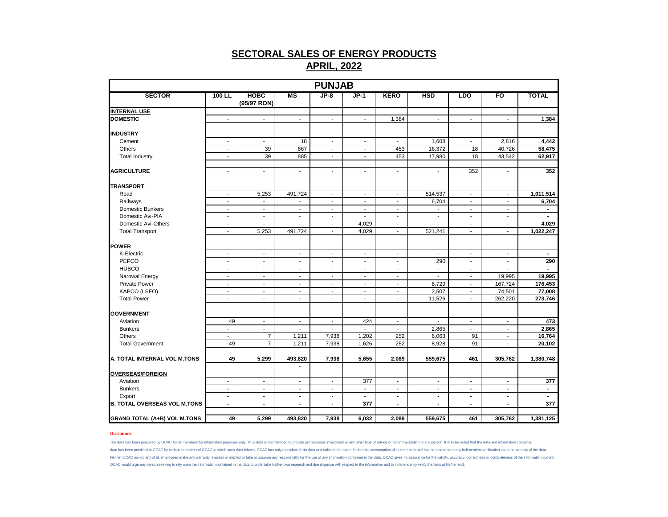|                                     |                          |                             |                          | <b>PUNJAB</b>            |                          |                          |                          |                             |                          |                |
|-------------------------------------|--------------------------|-----------------------------|--------------------------|--------------------------|--------------------------|--------------------------|--------------------------|-----------------------------|--------------------------|----------------|
| <b>SECTOR</b>                       | $100$ LL                 | <b>HOBC</b><br>(95/97 RON)  | MS                       | $JP-8$                   | $JP-1$                   | <b>KERO</b>              | <b>HSD</b>               | <b>LDO</b>                  | FO                       | <b>TOTAL</b>   |
| <b>INTERNAL USE</b>                 |                          |                             |                          |                          |                          |                          |                          |                             |                          |                |
| <b>DOMESTIC</b>                     | $\sim$                   | $\blacksquare$              | $\overline{\phantom{a}}$ | $\sim$                   | $\overline{\phantom{a}}$ | 1,384                    | $\overline{\phantom{a}}$ | $\sim$                      | $\blacksquare$           | 1,384          |
| <b>INDUSTRY</b>                     |                          |                             |                          |                          |                          |                          |                          |                             |                          |                |
| Cement                              | $\blacksquare$           | $\blacksquare$              | 18                       | $\sim$                   | $\overline{\phantom{a}}$ | $\overline{\phantom{a}}$ | 1,608                    | $\blacksquare$              | 2,816                    | 4,442          |
| Others                              | $\blacksquare$           | 39                          | 867                      | $\sim$                   | $\blacksquare$           | 453                      | 16,372                   | 18                          | 40,726                   | 58,475         |
| <b>Total Industry</b>               | $\sim$                   | 39                          | 885                      | $\blacksquare$           | $\blacksquare$           | 453                      | 17,980                   | 18                          | 43,542                   | 62,917         |
| <b>AGRICULTURE</b>                  | $\blacksquare$           | $\blacksquare$              | $\overline{\phantom{a}}$ | $\overline{\phantom{a}}$ | $\overline{\phantom{a}}$ | $\blacksquare$           | $\overline{\phantom{a}}$ | 352                         | $\overline{\phantom{a}}$ | 352            |
|                                     |                          |                             |                          |                          |                          |                          |                          |                             |                          |                |
| <b>TRANSPORT</b>                    |                          |                             |                          |                          |                          |                          |                          |                             |                          |                |
| Road                                | $\sim$                   | 5,253                       | 491,724                  | $\blacksquare$           | $\blacksquare$           | $\blacksquare$           | 514,537                  | $\sim$                      | $\blacksquare$           | 1,011,514      |
| Railways                            | $\blacksquare$           | $\blacksquare$              | $\overline{\phantom{a}}$ | $\sim$                   | $\blacksquare$           | $\overline{\phantom{a}}$ | 6,704                    | $\sim$                      | $\blacksquare$           | 6,704          |
| <b>Domestic Bunkers</b>             | $\blacksquare$           | $\blacksquare$              | $\overline{\phantom{a}}$ | $\blacksquare$           | $\blacksquare$           | $\blacksquare$           | $\overline{\phantom{a}}$ | $\overline{\phantom{a}}$    | $\blacksquare$           | $\blacksquare$ |
| Domestic Avi-PIA                    | $\sim$                   | $\blacksquare$              | $\blacksquare$           | $\overline{\phantom{a}}$ |                          | ÷,                       | $\overline{\phantom{a}}$ | $\blacksquare$              | $\blacksquare$           |                |
| Domestic Avi-Others                 | $\overline{\phantom{a}}$ | $\overline{\phantom{a}}$    | $\overline{\phantom{a}}$ | $\sim$                   | 4,029                    | $\blacksquare$           | $\overline{\phantom{a}}$ | $\sim$                      | $\overline{\phantom{a}}$ | 4,029          |
| <b>Total Transport</b>              | $\blacksquare$           | 5,253                       | 491,724                  | $\blacksquare$           | 4,029                    | $\blacksquare$           | 521,241                  | $\sim$                      | $\blacksquare$           | 1,022,247      |
| <b>POWER</b>                        |                          |                             |                          |                          |                          |                          |                          |                             |                          |                |
| K-Electric                          | $\overline{\phantom{a}}$ | $\sim$                      | $\blacksquare$           | $\sim$                   | $\overline{\phantom{a}}$ | $\blacksquare$           | $\sim$                   | $\sim$                      | $\sim$                   | $\sim$         |
| PEPCO                               | $\mathcal{L}$            | $\mathcal{L}$               | L.                       | $\overline{a}$           | $\blacksquare$           | $\overline{\phantom{a}}$ | 290                      | $\mathcal{L}$               | ÷.                       | 290            |
| <b>HUBCO</b>                        | $\overline{\phantom{a}}$ | $\blacksquare$              | $\blacksquare$           | $\blacksquare$           | $\sim$                   | $\overline{\phantom{a}}$ | $\overline{\phantom{a}}$ | $\overline{\phantom{a}}$    | $\blacksquare$           |                |
| Narowal Energy                      | $\blacksquare$           | $\blacksquare$              | $\blacksquare$           | $\blacksquare$           | $\blacksquare$           | $\overline{\phantom{a}}$ | $\blacksquare$           | $\blacksquare$              | 19,995                   | 19,995         |
| <b>Private Power</b>                | $\sim$                   | $\sim$                      | $\sim$                   | $\blacksquare$           | $\sim$                   | $\overline{\phantom{a}}$ | 8,729                    | $\sim$                      | 167,724                  | 176,453        |
| KAPCO (LSFO)                        | $\overline{\phantom{a}}$ | $\sim$                      | $\overline{\phantom{a}}$ | $\overline{\phantom{a}}$ | $\overline{\phantom{a}}$ | $\overline{\phantom{a}}$ | 2,507                    | $\sim$                      | 74,501                   | 77,008         |
| <b>Total Power</b>                  | $\sim$                   | $\blacksquare$              | $\blacksquare$           | ÷,                       | $\blacksquare$           | $\overline{\phantom{m}}$ | 11,526                   | $\overline{\phantom{a}}$    | 262,220                  | 273,746        |
|                                     |                          |                             |                          |                          |                          |                          |                          |                             |                          |                |
| <b>GOVERNMENT</b>                   |                          |                             |                          |                          |                          |                          |                          |                             |                          |                |
| Aviation                            | 49                       | $\mathcal{L}_{\mathcal{A}}$ | $\blacksquare$           | $\blacksquare$           | 424                      | $\mathbf{r}$             | $\mathbf{r}$             | $\mathcal{L}_{\mathcal{A}}$ | $\mathbf{r}$             | 473            |
| <b>Bunkers</b>                      | $\overline{\phantom{a}}$ | $\blacksquare$              | $\overline{\phantom{a}}$ | $\overline{\phantom{a}}$ | $\blacksquare$           | $\overline{\phantom{a}}$ | 2,865                    | $\overline{\phantom{a}}$    | $\blacksquare$           | 2,865          |
| Others                              | $\sim$                   | $\overline{7}$              | 1,211                    | 7,938                    | 1,202                    | 252                      | 6,063                    | 91                          | $\blacksquare$           | 16,764         |
| <b>Total Government</b>             | 49                       | $\overline{7}$              | 1,211                    | 7,938                    | 1,626                    | 252                      | 8,928                    | 91                          | $\sim$                   | 20,102         |
| A. TOTAL INTERNAL VOL M.TONS        | 49                       | 5,299                       | 493,820                  | 7,938                    | 5,655                    | 2,089                    | 559,675                  | 461                         | 305,762                  | 1,380,748      |
|                                     |                          |                             |                          |                          |                          |                          |                          |                             |                          |                |
| <b>OVERSEAS/FOREIGN</b>             |                          |                             |                          |                          |                          |                          |                          |                             |                          |                |
| Aviation                            | $\blacksquare$           | $\blacksquare$              | $\blacksquare$           | $\blacksquare$           | 377                      | $\blacksquare$           | $\blacksquare$           | $\blacksquare$              | $\blacksquare$           | 377            |
| <b>Bunkers</b>                      | $\sim$                   | $\sim$                      | $\blacksquare$           | $\sim$                   | $\mathbf{r}$             | $\blacksquare$           | $\blacksquare$           | $\blacksquare$              | $\sim$                   | $\sim$         |
| Export                              | $\blacksquare$           | $\blacksquare$              | $\blacksquare$           | $\overline{\phantom{a}}$ | $\blacksquare$           | $\blacksquare$           | $\overline{\phantom{a}}$ | $\blacksquare$              | $\blacksquare$           | $\sim$         |
| <b>B. TOTAL OVERSEAS VOL M.TONS</b> | $\blacksquare$           | $\blacksquare$              | $\blacksquare$           | $\blacksquare$           | 377                      | $\blacksquare$           | $\blacksquare$           | $\blacksquare$              | $\blacksquare$           | 377            |
| <b>GRAND TOTAL (A+B) VOL M.TONS</b> | 49                       | 5,299                       | 493,820                  | 7,938                    | 6,032                    | 2,089                    | 559,675                  | 461                         | 305,762                  | 1,381,125      |

#### **Disclaimer:**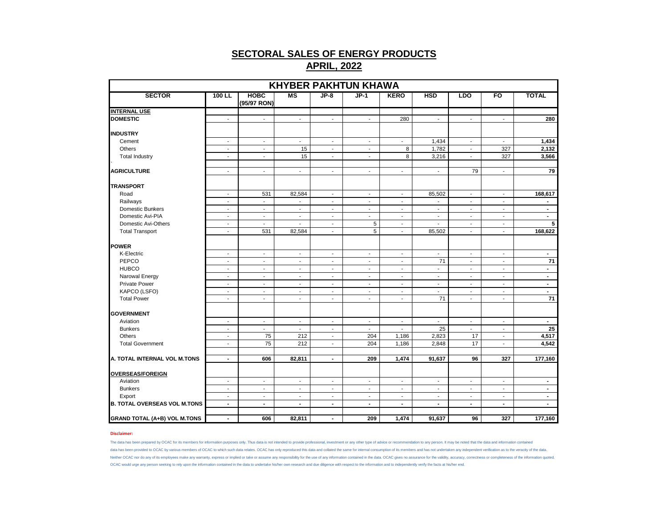|                                     |                                            |                                    |                          |                                    | <b>KHYBER PAKHTUN KHAWA</b>                          |                                  |                          |                                    |                                    |                 |
|-------------------------------------|--------------------------------------------|------------------------------------|--------------------------|------------------------------------|------------------------------------------------------|----------------------------------|--------------------------|------------------------------------|------------------------------------|-----------------|
| <b>SECTOR</b>                       | 100 LL                                     | <b>HOBC</b><br>(95/97 RON)         | <b>MS</b>                | $JP-8$                             | $JP-1$                                               | <b>KERO</b>                      | <b>HSD</b>               | <b>LDO</b>                         | FO                                 | <b>TOTAL</b>    |
| <b>INTERNAL USE</b>                 |                                            |                                    |                          |                                    |                                                      |                                  |                          |                                    |                                    |                 |
| <b>DOMESTIC</b>                     | $\sim$                                     | $\sim$                             | $\sim$                   | $\blacksquare$                     | $\sim$                                               | 280                              | $\blacksquare$           | $\blacksquare$                     | $\mathbf{r}$                       | 280             |
|                                     |                                            |                                    |                          |                                    |                                                      |                                  |                          |                                    |                                    |                 |
| <b>INDUSTRY</b>                     |                                            |                                    |                          |                                    |                                                      |                                  |                          |                                    |                                    |                 |
| Cement                              | $\sim$                                     | $\sim$                             | $\sim$                   | $\sim$                             | $\sim$                                               | $\sim$                           | 1,434                    | $\sim$                             | $\sim$                             | 1,434           |
| Others                              | $\sim$                                     | $\blacksquare$                     | 15                       | $\blacksquare$                     | $\sim$                                               | 8                                | 1,782                    | $\sim$                             | 327                                | 2,132           |
| <b>Total Industry</b>               | $\sim$                                     | $\blacksquare$                     | 15                       | $\blacksquare$                     | $\blacksquare$                                       | 8                                | 3,216                    | $\blacksquare$                     | 327                                | 3,566           |
| <b>AGRICULTURE</b>                  | $\sim$                                     | $\sim$                             | $\sim$                   | $\blacksquare$                     | $\sim$                                               | $\blacksquare$                   | $\sim$                   | 79                                 | $\sim$                             | 79              |
| <b>TRANSPORT</b>                    |                                            |                                    |                          |                                    |                                                      |                                  |                          |                                    |                                    |                 |
| Road                                | $\overline{\phantom{a}}$                   | 531                                | 82,584                   | $\overline{\phantom{a}}$           | $\overline{\phantom{a}}$                             | $\blacksquare$                   | 85,502                   | $\overline{\phantom{a}}$           | $\overline{\phantom{a}}$           | 168,617         |
| Railways                            | $\blacksquare$                             | $\mathcal{L}$                      | $\mathbf{r}$             | $\blacksquare$                     | $\mathbf{r}$                                         | $\overline{\phantom{a}}$         | $\mathbf{r}$             | $\blacksquare$                     | $\sim$                             | $\blacksquare$  |
| Domestic Bunkers                    | $\sim$                                     | $\overline{\phantom{a}}$           | $\sim$                   | $\blacksquare$                     | $\blacksquare$                                       | $\sim$                           | $\overline{\phantom{a}}$ | $\sim$                             | $\blacksquare$                     | $\blacksquare$  |
| Domestic Avi-PIA                    | $\sim$                                     | $\blacksquare$                     | $\overline{\phantom{a}}$ | $\blacksquare$                     | $\blacksquare$                                       | $\blacksquare$                   | $\blacksquare$           | $\sim$                             | $\overline{\phantom{a}}$           | $\sim$          |
| Domestic Avi-Others                 | $\blacksquare$                             | $\sim$                             | $\sim$                   | $\blacksquare$                     | 5                                                    | $\blacksquare$                   | $\blacksquare$           | $\sim$                             | $\blacksquare$                     | 5               |
| <b>Total Transport</b>              | $\sim$                                     | 531                                | 82,584                   | $\blacksquare$                     | 5                                                    | $\blacksquare$                   | 85,502                   | $\blacksquare$                     | $\overline{\phantom{a}}$           | 168,622         |
| <b>POWER</b>                        |                                            |                                    |                          |                                    |                                                      |                                  |                          |                                    |                                    |                 |
| K-Electric                          | $\blacksquare$                             | $\overline{\phantom{a}}$           | $\blacksquare$           | $\overline{\phantom{a}}$           | $\overline{\phantom{a}}$                             | $\overline{\phantom{a}}$         | $\overline{\phantom{a}}$ | $\blacksquare$                     | $\overline{\phantom{a}}$           | $\blacksquare$  |
| PEPCO                               |                                            |                                    |                          |                                    |                                                      |                                  | 71                       |                                    |                                    | 71              |
| <b>HUBCO</b>                        | $\overline{\phantom{a}}$<br>$\blacksquare$ | $\overline{\phantom{a}}$           | $\overline{\phantom{a}}$ | $\overline{\phantom{a}}$           | $\overline{\phantom{a}}$                             | $\overline{\phantom{a}}$         |                          | $\blacksquare$                     | $\overline{\phantom{a}}$           | $\blacksquare$  |
| Narowal Energy                      | $\sim$                                     | $\overline{\phantom{a}}$<br>$\sim$ | $\sim$<br>$\sim$         | $\overline{\phantom{a}}$<br>$\sim$ | $\overline{\phantom{a}}$<br>$\overline{\phantom{a}}$ | $\blacksquare$<br>$\blacksquare$ | $\sim$<br>$\sim$         | $\overline{\phantom{a}}$<br>$\sim$ | $\overline{\phantom{a}}$<br>$\sim$ | $\sim$          |
| <b>Private Power</b>                | $\sim$                                     | $\blacksquare$                     | $\blacksquare$           | $\blacksquare$                     | $\sim$                                               | $\blacksquare$                   | $\sim$                   | $\blacksquare$                     | $\blacksquare$                     | $\sim$          |
| KAPCO (LSFO)                        | $\overline{\phantom{a}}$                   | $\overline{\phantom{a}}$           | $\overline{\phantom{a}}$ | $\overline{\phantom{a}}$           | $\overline{\phantom{a}}$                             | $\blacksquare$                   | $\overline{\phantom{a}}$ | $\overline{\phantom{a}}$           | $\overline{\phantom{a}}$           | $\blacksquare$  |
| <b>Total Power</b>                  | $\sim$                                     | $\overline{\phantom{a}}$           | $\overline{\phantom{a}}$ | $\blacksquare$                     | $\overline{\phantom{a}}$                             | $\blacksquare$                   | 71                       | $\sim$                             | $\blacksquare$                     | $\overline{71}$ |
|                                     |                                            |                                    |                          |                                    |                                                      |                                  |                          |                                    |                                    |                 |
| <b>GOVERNMENT</b>                   |                                            |                                    |                          |                                    |                                                      |                                  |                          |                                    |                                    |                 |
| Aviation                            | $\overline{\phantom{a}}$                   | $\overline{\phantom{a}}$           | $\overline{\phantom{a}}$ | $\overline{\phantom{a}}$           | $\overline{\phantom{a}}$                             | $\blacksquare$                   | $\overline{\phantom{a}}$ | $\blacksquare$                     | $\overline{\phantom{a}}$           | $\blacksquare$  |
| <b>Bunkers</b>                      | $\sim$                                     | $\sim$                             | $\sim$                   | $\overline{\phantom{a}}$           | $\sim$                                               | $\blacksquare$                   | 25                       | $\blacksquare$                     | $\overline{\phantom{a}}$           | 25              |
| Others                              | $\blacksquare$                             | 75                                 | 212                      | $\blacksquare$                     | 204                                                  | 1,186                            | 2,823                    | 17                                 | $\blacksquare$                     | 4,517           |
| <b>Total Government</b>             | $\blacksquare$                             | 75                                 | 212                      | $\overline{\phantom{a}}$           | 204                                                  | 1,186                            | 2,848                    | 17                                 | $\blacksquare$                     | 4,542           |
| A. TOTAL INTERNAL VOL M.TONS        | $\blacksquare$                             | 606                                | 82,811                   | $\blacksquare$                     | 209                                                  | 1,474                            | 91,637                   | 96                                 | 327                                | 177,160         |
|                                     |                                            |                                    |                          |                                    |                                                      |                                  |                          |                                    |                                    |                 |
| <b>OVERSEAS/FOREIGN</b>             |                                            |                                    |                          |                                    |                                                      |                                  |                          |                                    |                                    |                 |
| Aviation                            | $\sim$                                     | $\overline{\phantom{a}}$           | $\sim$                   | $\overline{\phantom{a}}$           | $\sim$                                               | $\blacksquare$                   | $\overline{\phantom{a}}$ | $\sim$                             | $\overline{\phantom{a}}$           | $\blacksquare$  |
| <b>Bunkers</b>                      | $\mathbf{r}$                               | $\mathbf{r}$                       | $\sim$                   | $\overline{a}$                     | $\mathbf{r}$                                         | $\sim$                           | $\sim$                   | $\sim$                             | $\overline{a}$                     | $\blacksquare$  |
| Export                              | $\blacksquare$                             | $\blacksquare$                     | $\overline{\phantom{a}}$ | $\overline{\phantom{a}}$           | $\overline{\phantom{a}}$                             | $\blacksquare$                   | $\blacksquare$           | $\blacksquare$                     | $\overline{\phantom{a}}$           | $\blacksquare$  |
| <b>B. TOTAL OVERSEAS VOL M.TONS</b> | $\blacksquare$                             | $\overline{\phantom{a}}$           | $\blacksquare$           | $\blacksquare$                     | $\sim$                                               | $\blacksquare$                   | $\overline{\phantom{a}}$ | $\sim$                             | $\blacksquare$                     | $\blacksquare$  |
| <b>GRAND TOTAL (A+B) VOL M.TONS</b> | $\blacksquare$                             | 606                                | 82,811                   | $\blacksquare$                     | 209                                                  | 1,474                            | 91,637                   | 96                                 | 327                                | 177,160         |

#### **Disclaimer:**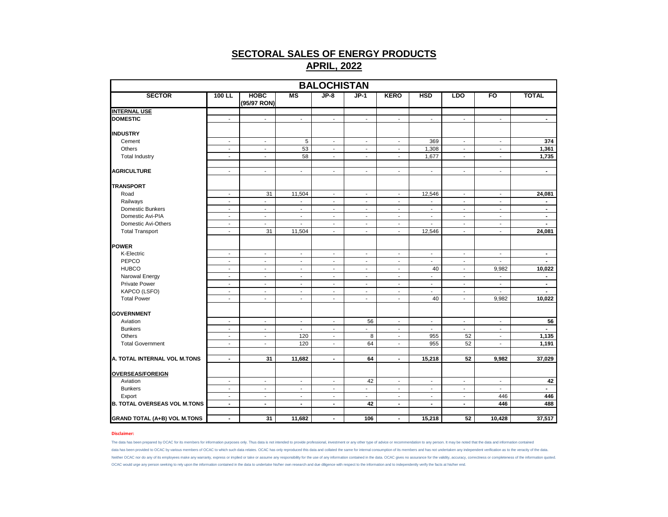|                                     |                          |                            |                          | <b>BALOCHISTAN</b>       |                             |                          |                             |                          |                          |                |
|-------------------------------------|--------------------------|----------------------------|--------------------------|--------------------------|-----------------------------|--------------------------|-----------------------------|--------------------------|--------------------------|----------------|
| <b>SECTOR</b>                       | 100 LL                   | <b>HOBC</b><br>(95/97 RON) | MS                       | $JP-8$                   | $JP-1$                      | <b>KERO</b>              | <b>HSD</b>                  | <b>LDO</b>               | FO                       | <b>TOTAL</b>   |
| <b>INTERNAL USE</b>                 |                          |                            |                          |                          |                             |                          |                             |                          |                          |                |
| <b>DOMESTIC</b>                     | $\blacksquare$           | $\blacksquare$             | ÷.                       | ÷.                       | $\mathcal{L}_{\mathcal{A}}$ | $\sim$                   | $\mathcal{L}_{\mathcal{A}}$ | ÷.                       | $\overline{a}$           | $\blacksquare$ |
| <b>INDUSTRY</b>                     |                          |                            |                          |                          |                             |                          |                             |                          |                          |                |
| Cement                              | $\overline{\phantom{a}}$ | $\blacksquare$             | 5                        | $\blacksquare$           | $\sim$                      | $\sim$                   | 369                         | $\sim$                   | $\blacksquare$           | 374            |
| Others                              | $\overline{\phantom{a}}$ | $\overline{\phantom{a}}$   | 53                       | $\blacksquare$           | $\sim$                      | $\sim$                   | 1,308                       | $\blacksquare$           | $\blacksquare$           | 1,361          |
| <b>Total Industry</b>               | $\overline{\phantom{a}}$ | $\overline{\phantom{a}}$   | 58                       | $\overline{\phantom{a}}$ | $\overline{\phantom{a}}$    | $\overline{\phantom{a}}$ | 1.677                       | $\blacksquare$           | $\overline{\phantom{a}}$ | 1,735          |
| <b>AGRICULTURE</b>                  | $\blacksquare$           | $\blacksquare$             | $\blacksquare$           | $\blacksquare$           | $\blacksquare$              | $\mathbf{r}$             | $\blacksquare$              | $\blacksquare$           | $\blacksquare$           | $\blacksquare$ |
| <b>TRANSPORT</b>                    |                          |                            |                          |                          |                             |                          |                             |                          |                          |                |
| Road                                | $\overline{\phantom{a}}$ | 31                         | 11,504                   | $\sim$                   | $\sim$                      | $\sim$                   | 12,546                      | $\sim$                   | $\overline{\phantom{a}}$ | 24,081         |
| Railways                            | $\overline{\phantom{a}}$ | $\blacksquare$             | ÷,                       | $\sim$                   | $\mathbf{r}$                | $\sim$                   |                             | $\blacksquare$           | $\blacksquare$           | $\blacksquare$ |
| Domestic Bunkers                    | $\overline{\phantom{a}}$ | $\overline{\phantom{a}}$   | $\overline{\phantom{a}}$ | $\overline{\phantom{a}}$ | $\sim$                      | $\overline{\phantom{a}}$ | $\overline{\phantom{a}}$    | $\overline{\phantom{a}}$ | $\overline{\phantom{a}}$ | $\blacksquare$ |
| Domestic Avi-PIA                    | $\sim$                   | $\sim$                     | $\sim$                   | $\blacksquare$           | $\overline{\phantom{a}}$    | $\overline{\phantom{a}}$ | $\overline{\phantom{a}}$    | $\overline{\phantom{a}}$ | $\overline{\phantom{a}}$ | $\blacksquare$ |
| Domestic Avi-Others                 | $\blacksquare$           | $\blacksquare$             | $\sim$                   | $\sim$                   | $\sim$                      | $\sim$                   | $\sim$                      | $\blacksquare$           | $\blacksquare$           | $\sim$         |
| <b>Total Transport</b>              | $\overline{\phantom{a}}$ | 31                         | 11,504                   | $\overline{\phantom{a}}$ | $\blacksquare$              | $\sim$                   | 12,546                      | $\blacksquare$           | $\blacksquare$           | 24,081         |
| POWER                               |                          |                            |                          |                          |                             |                          |                             |                          |                          |                |
| K-Electric                          | $\blacksquare$           | $\mathbf{r}$               | $\sim$                   | $\mathbf{r}$             | $\mathbf{r}$                | $\mathbf{r}$             | $\blacksquare$              | $\mathbf{r}$             | $\sim$                   | $\blacksquare$ |
| PEPCO                               | $\overline{\phantom{a}}$ | $\overline{\phantom{a}}$   | $\overline{\phantom{a}}$ | $\overline{\phantom{a}}$ | $\blacksquare$              | $\overline{\phantom{a}}$ | $\overline{\phantom{a}}$    | $\overline{\phantom{a}}$ | $\blacksquare$           | $\blacksquare$ |
| <b>HUBCO</b>                        | $\sim$                   | $\sim$                     | $\sim$                   | $\sim$                   | $\sim$                      | $\sim$                   | 40                          | $\sim$                   | 9,982                    | 10,022         |
| Narowal Energy                      | $\overline{\phantom{a}}$ | $\overline{\phantom{a}}$   | $\sim$                   | $\overline{\phantom{a}}$ | $\sim$                      | $\overline{\phantom{a}}$ | $\sim$                      | $\overline{\phantom{a}}$ | $\overline{\phantom{a}}$ | $\blacksquare$ |
| <b>Private Power</b>                | $\overline{\phantom{a}}$ | $\overline{\phantom{a}}$   | $\blacksquare$           | $\blacksquare$           | $\blacksquare$              | $\sim$                   | $\sim$                      | $\blacksquare$           | $\overline{a}$           | $\blacksquare$ |
| KAPCO (LSFO)                        | $\overline{\phantom{a}}$ | $\overline{\phantom{a}}$   | $\overline{\phantom{a}}$ | $\blacksquare$           | $\overline{\phantom{a}}$    | $\blacksquare$           | $\overline{\phantom{a}}$    | $\overline{\phantom{a}}$ | $\blacksquare$           | $\blacksquare$ |
| <b>Total Power</b>                  | $\overline{\phantom{a}}$ | $\sim$                     | $\overline{\phantom{a}}$ | $\blacksquare$           | $\sim$                      | $\blacksquare$           | 40                          | $\blacksquare$           | 9,982                    | 10,022         |
|                                     |                          |                            |                          |                          |                             |                          |                             |                          |                          |                |
| <b>GOVERNMENT</b>                   |                          |                            |                          |                          |                             |                          |                             |                          |                          |                |
| Aviation                            | $\blacksquare$           | $\blacksquare$             | $\blacksquare$           | $\blacksquare$           | 56                          | $\blacksquare$           | $\blacksquare$              | $\blacksquare$           | $\sim$                   | 56             |
| <b>Bunkers</b>                      | $\overline{\phantom{a}}$ | $\blacksquare$             | $\sim$                   | $\overline{\phantom{a}}$ | $\blacksquare$              | $\sim$                   | $\sim$                      | $\overline{\phantom{a}}$ | $\overline{\phantom{a}}$ | $\blacksquare$ |
| Others                              | $\overline{\phantom{a}}$ | $\overline{\phantom{a}}$   | 120                      | $\overline{\phantom{a}}$ | 8                           | $\overline{\phantom{a}}$ | 955                         | 52                       | $\blacksquare$           | 1,135          |
| <b>Total Government</b>             | $\overline{\phantom{a}}$ | $\overline{\phantom{a}}$   | 120                      | $\overline{\phantom{a}}$ | 64                          | $\overline{\phantom{a}}$ | 955                         | 52                       | $\overline{\phantom{a}}$ | 1,191          |
| A. TOTAL INTERNAL VOL M.TONS        | $\blacksquare$           | 31                         | 11,682                   | $\blacksquare$           | 64                          | $\blacksquare$           | 15,218                      | 52                       | 9,982                    | 37,029         |
| <b>OVERSEAS/FOREIGN</b>             |                          |                            |                          |                          |                             |                          |                             |                          |                          |                |
| Aviation                            | $\overline{\phantom{a}}$ | $\overline{\phantom{a}}$   | $\overline{\phantom{a}}$ | $\overline{\phantom{a}}$ | 42                          | $\sim$                   | $\overline{\phantom{a}}$    | $\overline{\phantom{a}}$ | $\overline{\phantom{a}}$ | 42             |
| <b>Bunkers</b>                      | $\overline{\phantom{a}}$ | $\overline{\phantom{a}}$   | $\blacksquare$           | $\sim$                   | $\overline{\phantom{a}}$    | $\sim$                   | $\blacksquare$              | $\blacksquare$           | $\blacksquare$           | $\blacksquare$ |
| Export                              | $\overline{\phantom{a}}$ | $\overline{\phantom{a}}$   | $\overline{\phantom{a}}$ | $\overline{\phantom{a}}$ | $\overline{\phantom{a}}$    | $\overline{\phantom{a}}$ | $\overline{\phantom{a}}$    | $\overline{\phantom{a}}$ | 446                      | 446            |
| <b>B. TOTAL OVERSEAS VOL M.TONS</b> | $\blacksquare$           | $\blacksquare$             | $\blacksquare$           | $\blacksquare$           | 42                          | $\overline{\phantom{a}}$ | $\blacksquare$              | $\blacksquare$           | 446                      | 488            |
| <b>GRAND TOTAL (A+B) VOL M.TONS</b> | $\blacksquare$           | 31                         | 11,682                   | $\blacksquare$           | 106                         | $\blacksquare$           | 15,218                      | 52                       | 10,428                   | 37,517         |

#### **Disclaimer:**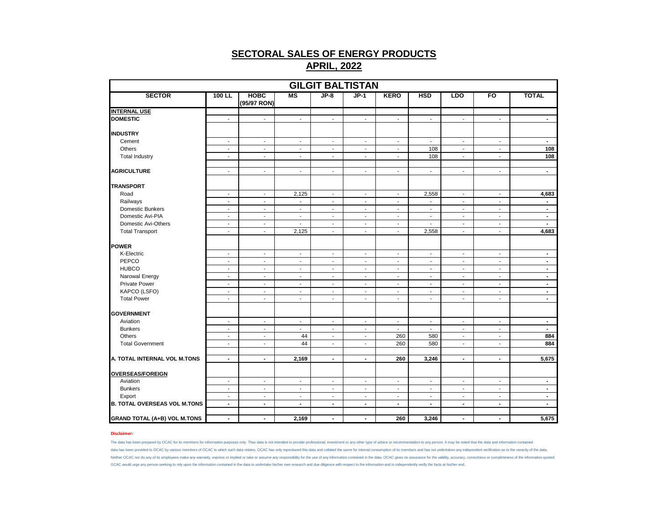|                                     |                          |                            |                          |                          | <b>GILGIT BALTISTAN</b>  |                          |                          |                          |                          |                                  |
|-------------------------------------|--------------------------|----------------------------|--------------------------|--------------------------|--------------------------|--------------------------|--------------------------|--------------------------|--------------------------|----------------------------------|
| <b>SECTOR</b>                       | 100 LL                   | <b>HOBC</b><br>(95/97 RON) | $\overline{\text{MS}}$   | $JP-8$                   | $JP-1$                   | <b>KERO</b>              | <b>HSD</b>               | <b>LDO</b>               | FO                       | <b>TOTAL</b>                     |
| <b>INTERNAL USE</b>                 |                          |                            |                          |                          |                          |                          |                          |                          |                          |                                  |
| <b>DOMESTIC</b>                     | $\mathbf{r}$             | $\sim$                     | $\mathbf{r}$             | $\mathbf{r}$             | $\mathbf{r}$             | $\sim$                   | L.                       | $\mathbf{r}$             | $\blacksquare$           | $\blacksquare$                   |
| <b>INDUSTRY</b>                     |                          |                            |                          |                          |                          |                          |                          |                          |                          |                                  |
| Cement                              | $\sim$                   | $\sim$                     | $\sim$                   | $\overline{\phantom{a}}$ | $\sim$                   | $\sim$                   | $\overline{\phantom{a}}$ | $\sim$                   | $\sim$                   | $\sim$                           |
| Others                              | $\blacksquare$           | $\overline{\phantom{a}}$   | $\overline{\phantom{a}}$ | $\overline{\phantom{a}}$ | $\overline{\phantom{a}}$ | $\sim$                   | 108                      | $\blacksquare$           | $\blacksquare$           | 108                              |
| <b>Total Industry</b>               | $\blacksquare$           | $\blacksquare$             | $\overline{\phantom{a}}$ | $\blacksquare$           | $\blacksquare$           | $\sim$                   | 108                      | $\blacksquare$           | $\blacksquare$           | 108                              |
|                                     |                          |                            |                          |                          |                          |                          |                          |                          |                          |                                  |
| <b>AGRICULTURE</b>                  | $\mathbf{r}$             | $\mathbf{r}$               | $\mathbf{r}$             | $\blacksquare$           | L.                       | $\mathbf{r}$             | $\blacksquare$           | $\blacksquare$           | $\mathbf{r}$             | $\blacksquare$                   |
| <b>TRANSPORT</b>                    |                          |                            |                          |                          |                          |                          |                          |                          |                          |                                  |
| Road                                | $\sim$                   | $\blacksquare$             | 2,125                    | $\overline{\phantom{a}}$ | $\overline{\phantom{a}}$ | $\sim$                   | 2,558                    | $\overline{\phantom{a}}$ | $\blacksquare$           | 4,683                            |
| Railways                            | $\sim$                   | $\sim$                     | $\blacksquare$           | $\blacksquare$           | $\blacksquare$           | $\sim$                   | $\sim$                   | $\mathbf{r}$             | $\blacksquare$           | $\blacksquare$                   |
| Domestic Bunkers                    | $\sim$                   | $\overline{\phantom{a}}$   | $\overline{\phantom{a}}$ | $\overline{\phantom{a}}$ | $\overline{\phantom{a}}$ | $\sim$                   | $\overline{\phantom{a}}$ | $\overline{\phantom{a}}$ | $\overline{\phantom{a}}$ | $\blacksquare$                   |
| Domestic Avi-PIA                    | $\overline{\phantom{a}}$ | $\sim$                     | $\overline{\phantom{a}}$ | $\overline{\phantom{a}}$ | $\overline{\phantom{a}}$ | $\overline{\phantom{a}}$ | $\overline{\phantom{a}}$ | $\overline{\phantom{a}}$ | $\overline{\phantom{a}}$ | $\blacksquare$                   |
| Domestic Avi-Others                 | $\sim$                   | $\sim$                     | $\sim$                   | $\overline{\phantom{a}}$ | $\overline{\phantom{a}}$ | $\sim$                   | $\blacksquare$           | $\blacksquare$           | $\sim$                   | $\sim$                           |
| <b>Total Transport</b>              | $\sim$                   | $\blacksquare$             | 2,125                    | $\overline{\phantom{a}}$ | $\overline{\phantom{a}}$ | $\sim$                   | 2,558                    | $\overline{\phantom{a}}$ | $\overline{\phantom{a}}$ | 4,683                            |
|                                     |                          |                            |                          |                          |                          |                          |                          |                          |                          |                                  |
| <b>POWER</b>                        |                          |                            |                          |                          |                          |                          |                          |                          |                          |                                  |
| K-Electric                          | $\sim$                   | $\sim$                     | $\sim$                   | $\blacksquare$           | $\blacksquare$           | $\sim$                   | $\blacksquare$           | $\mathbf{r}$             | $\blacksquare$           | $\blacksquare$                   |
| PEPCO                               | $\overline{\phantom{a}}$ | $\overline{\phantom{a}}$   | $\overline{\phantom{a}}$ | $\overline{\phantom{a}}$ | $\overline{\phantom{a}}$ | $\overline{\phantom{a}}$ | $\overline{\phantom{a}}$ | $\overline{\phantom{a}}$ | $\overline{\phantom{a}}$ | $\blacksquare$                   |
| <b>HUBCO</b>                        | $\blacksquare$           | $\sim$                     | $\overline{\phantom{a}}$ | $\overline{\phantom{a}}$ | $\sim$                   | $\sim$                   | $\overline{\phantom{a}}$ | $\overline{\phantom{a}}$ | $\blacksquare$           | $\sim$                           |
| Narowal Energy                      | $\blacksquare$           | $\blacksquare$             | $\overline{\phantom{a}}$ | $\overline{\phantom{a}}$ | $\blacksquare$           | $\sim$                   | $\overline{\phantom{a}}$ | $\overline{\phantom{a}}$ | $\overline{\phantom{a}}$ | $\blacksquare$                   |
| Private Power                       | $\overline{\phantom{a}}$ | $\blacksquare$             | $\overline{\phantom{a}}$ | $\overline{\phantom{a}}$ | $\blacksquare$           | $\sim$                   | $\blacksquare$           | $\overline{\phantom{a}}$ | $\overline{\phantom{a}}$ | $\blacksquare$                   |
| KAPCO (LSFO)                        | $\blacksquare$           | $\blacksquare$             | $\overline{\phantom{a}}$ | $\overline{\phantom{a}}$ | $\overline{\phantom{a}}$ | $\sim$                   | $\blacksquare$           | $\overline{\phantom{a}}$ | $\blacksquare$           | $\blacksquare$                   |
| <b>Total Power</b>                  | $\sim$                   | $\sim$                     | $\overline{\phantom{a}}$ | $\overline{\phantom{a}}$ | $\overline{\phantom{a}}$ | $\overline{\phantom{a}}$ | $\overline{\phantom{a}}$ | $\blacksquare$           | $\overline{\phantom{a}}$ | $\blacksquare$                   |
| <b>GOVERNMENT</b>                   |                          |                            |                          |                          |                          |                          |                          |                          |                          |                                  |
| Aviation                            | $\blacksquare$           | $\blacksquare$             | $\blacksquare$           | $\overline{\phantom{a}}$ | $\blacksquare$           | $\blacksquare$           | $\blacksquare$           | $\blacksquare$           | $\overline{\phantom{a}}$ | $\blacksquare$                   |
| <b>Bunkers</b>                      | $\sim$                   | $\blacksquare$             | $\sim$                   | $\overline{\phantom{a}}$ | $\sim$                   | $\sim$                   | $\overline{\phantom{a}}$ | $\overline{\phantom{a}}$ | $\blacksquare$           | $\blacksquare$                   |
| Others                              | $\sim$                   | $\sim$                     | 44                       | $\overline{\phantom{a}}$ | $\overline{\phantom{a}}$ | 260                      | 580                      | $\overline{\phantom{a}}$ | $\overline{\phantom{a}}$ | 884                              |
| <b>Total Government</b>             | $\overline{\phantom{a}}$ | $\overline{\phantom{a}}$   | 44                       | $\overline{\phantom{a}}$ | $\overline{\phantom{a}}$ | 260                      | 580                      | $\overline{\phantom{a}}$ | $\overline{\phantom{a}}$ | 884                              |
|                                     |                          |                            |                          |                          |                          |                          |                          |                          |                          |                                  |
| A. TOTAL INTERNAL VOL M.TONS        | $\blacksquare$           | $\blacksquare$             | 2,169                    | $\blacksquare$           | $\blacksquare$           | 260                      | 3,246                    | $\blacksquare$           | $\blacksquare$           | 5,675                            |
| <b>OVERSEAS/FOREIGN</b>             |                          |                            |                          |                          |                          |                          |                          |                          |                          |                                  |
| Aviation                            | $\sim$                   | $\overline{\phantom{a}}$   | $\overline{\phantom{a}}$ | $\overline{\phantom{a}}$ | $\overline{\phantom{a}}$ | $\sim$                   | $\overline{\phantom{a}}$ | $\overline{\phantom{a}}$ | $\overline{\phantom{a}}$ |                                  |
| <b>Bunkers</b>                      | $\mathbf{r}$             | $\mathbf{r}$               | $\mathbf{r}$             | $\overline{\phantom{a}}$ | $\mathbf{r}$             | $\mathbf{r}$             | $\overline{a}$           | $\blacksquare$           | $\mathbf{r}$             | $\blacksquare$<br>$\blacksquare$ |
| Export                              | $\sim$                   | $\overline{\phantom{a}}$   | $\overline{\phantom{a}}$ | $\overline{\phantom{a}}$ | $\overline{\phantom{a}}$ | $\sim$                   | $\overline{\phantom{a}}$ | $\overline{\phantom{a}}$ | $\overline{\phantom{a}}$ | $\blacksquare$                   |
| <b>B. TOTAL OVERSEAS VOL M.TONS</b> | $\blacksquare$           | $\blacksquare$             | $\blacksquare$           | $\blacksquare$           | $\blacksquare$           | $\overline{\phantom{a}}$ | $\blacksquare$           | $\blacksquare$           | $\blacksquare$           | $\blacksquare$                   |
|                                     |                          |                            |                          |                          |                          |                          |                          |                          |                          |                                  |
| <b>GRAND TOTAL (A+B) VOL M.TONS</b> | $\blacksquare$           | $\blacksquare$             | 2,169                    | $\overline{\phantom{a}}$ | $\blacksquare$           | 260                      | 3,246                    | $\blacksquare$           | $\blacksquare$           | 5,675                            |

#### **Disclaimer:**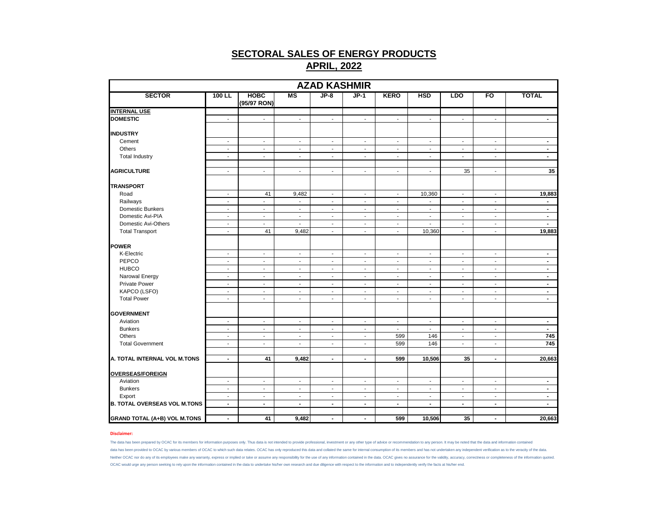|                                     |                          |                            |                          | <b>AZAD KASHMIR</b>      |                          |                          |                          |                          |                          |                |
|-------------------------------------|--------------------------|----------------------------|--------------------------|--------------------------|--------------------------|--------------------------|--------------------------|--------------------------|--------------------------|----------------|
| <b>SECTOR</b>                       | 100 LL                   | <b>HOBC</b><br>(95/97 RON) | MS                       | $JP-8$                   | $JP-1$                   | <b>KERO</b>              | <b>HSD</b>               | <b>LDO</b>               | FO                       | <b>TOTAL</b>   |
| <b>INTERNAL USE</b>                 |                          |                            |                          |                          |                          |                          |                          |                          |                          |                |
| <b>DOMESTIC</b>                     | $\sim$                   | $\mathbf{r}$               | $\mathbf{r}$             | $\mathcal{L}$            | $\mathbf{r}$             | $\mathbb{R}^2$           | $\sim$                   | $\mathbf{r}$             | $\mathbf{r}$             | $\blacksquare$ |
| <b>INDUSTRY</b>                     |                          |                            |                          |                          |                          |                          |                          |                          |                          |                |
| Cement                              | $\sim$                   | $\sim$                     | $\overline{\phantom{a}}$ | $\sim$                   | $\sim$                   | $\sim$                   | $\sim$                   | $\overline{\phantom{a}}$ | $\sim$                   | $\sim$         |
| Others                              | $\overline{\phantom{a}}$ | $\sim$                     | $\overline{\phantom{a}}$ | $\sim$                   | $\overline{\phantom{a}}$ | $\blacksquare$           | $\blacksquare$           | $\overline{\phantom{a}}$ | $\overline{\phantom{a}}$ | $\blacksquare$ |
| <b>Total Industry</b>               | $\blacksquare$           | $\blacksquare$             | $\blacksquare$           | $\blacksquare$           | $\blacksquare$           | $\blacksquare$           | $\blacksquare$           | $\blacksquare$           | $\blacksquare$           | $\sim$         |
| <b>AGRICULTURE</b>                  | $\mathbf{r}$             | $\blacksquare$             | $\blacksquare$           | $\mathbf{r}$             | $\blacksquare$           | $\blacksquare$           | $\sim$                   | 35                       | $\mathbf{r}$             | 35             |
| <b>TRANSPORT</b>                    |                          |                            |                          |                          |                          |                          |                          |                          |                          |                |
| Road                                | $\overline{\phantom{a}}$ | 41                         | 9,482                    | $\sim$                   | $\blacksquare$           | $\blacksquare$           | 10,360                   | $\overline{\phantom{a}}$ | $\sim$                   | 19,883         |
| Railways                            | $\mathbf{r}$             | $\blacksquare$             | $\overline{a}$           | $\mathbf{r}$             | $\blacksquare$           | $\mathbf{r}$             | $\mathcal{L}$            | $\mathbf{r}$             | $\mathbf{r}$             | $\blacksquare$ |
| Domestic Bunkers                    | $\overline{\phantom{a}}$ | $\overline{\phantom{a}}$   | $\overline{\phantom{a}}$ | $\blacksquare$           | $\overline{\phantom{a}}$ | $\blacksquare$           | $\overline{\phantom{a}}$ | $\overline{\phantom{a}}$ | $\overline{\phantom{a}}$ | $\blacksquare$ |
| Domestic Avi-PIA                    | $\overline{\phantom{a}}$ | $\overline{\phantom{a}}$   | $\overline{\phantom{a}}$ | $\sim$                   | $\sim$                   | $\blacksquare$           | $\overline{\phantom{a}}$ | $\overline{\phantom{a}}$ | $\sim$                   | $\sim$         |
| Domestic Avi-Others                 | $\sim$                   | $\sim$                     | $\blacksquare$           | $\sim$                   | $\overline{\phantom{a}}$ | $\sim$                   | $\sim$                   | $\blacksquare$           | $\sim$                   | $\sim$         |
| <b>Total Transport</b>              | $\sim$                   | 41                         | 9,482                    | $\sim$                   | $\overline{\phantom{a}}$ | $\blacksquare$           | 10,360                   | $\overline{\phantom{a}}$ | $\overline{\phantom{a}}$ | 19,883         |
| <b>POWER</b>                        |                          |                            |                          |                          |                          |                          |                          |                          |                          |                |
| K-Electric                          | $\blacksquare$           | $\sim$                     | $\blacksquare$           | $\mathbf{r}$             | $\blacksquare$           | $\sim$                   | $\mathbf{r}$             | $\blacksquare$           | $\sim$                   | $\blacksquare$ |
| PEPCO                               | $\overline{\phantom{a}}$ | $\overline{\phantom{a}}$   | $\overline{\phantom{a}}$ | $\overline{\phantom{a}}$ | $\blacksquare$           | $\overline{\phantom{a}}$ | $\overline{\phantom{a}}$ | $\overline{\phantom{a}}$ | $\overline{\phantom{a}}$ | $\blacksquare$ |
| <b>HUBCO</b>                        | $\sim$                   | $\sim$                     | $\sim$                   | $\blacksquare$           | $\overline{\phantom{a}}$ | $\sim$                   | $\overline{\phantom{a}}$ | $\sim$                   | $\sim$                   | $\sim$         |
| Narowal Energy                      | $\sim$                   | $\sim$                     | $\overline{\phantom{a}}$ | $\sim$                   | $\overline{\phantom{a}}$ | $\sim$                   | $\overline{\phantom{a}}$ | $\overline{\phantom{a}}$ | $\sim$                   | $\blacksquare$ |
| <b>Private Power</b>                | $\blacksquare$           | $\sim$                     | $\blacksquare$           | $\mathbf{r}$             | $\sim$                   | $\mathcal{L}$            | $\mathbf{r}$             | $\blacksquare$           | $\sim$                   | $\blacksquare$ |
| KAPCO (LSFO)                        | $\blacksquare$           | $\sim$                     | $\blacksquare$           | $\sim$                   | $\sim$                   | $\blacksquare$           | $\blacksquare$           | $\blacksquare$           | $\sim$                   | $\blacksquare$ |
| <b>Total Power</b>                  | $\overline{\phantom{a}}$ | $\sim$                     | $\overline{\phantom{a}}$ | $\sim$                   | $\sim$                   | $\blacksquare$           | $\blacksquare$           | $\overline{\phantom{a}}$ | $\overline{\phantom{a}}$ | $\blacksquare$ |
|                                     |                          |                            |                          |                          |                          |                          |                          |                          |                          |                |
| <b>GOVERNMENT</b>                   |                          |                            |                          |                          |                          |                          |                          |                          |                          |                |
| Aviation                            | $\blacksquare$           | $\sim$                     | $\blacksquare$           | $\blacksquare$           | $\overline{\phantom{a}}$ | $\blacksquare$           | $\sim$                   | $\blacksquare$           | $\blacksquare$           | $\blacksquare$ |
| <b>Bunkers</b>                      | $\sim$                   | $\sim$                     | $\blacksquare$           | $\sim$                   | $\overline{\phantom{a}}$ | $\sim$                   | $\blacksquare$           | $\blacksquare$           | $\sim$                   | $\sim$         |
| Others                              | $\sim$                   | $\overline{\phantom{a}}$   | $\blacksquare$           | $\sim$                   | $\overline{\phantom{a}}$ | 599                      | 146                      | $\blacksquare$           | $\sim$                   | 745            |
| <b>Total Government</b>             | $\overline{\phantom{a}}$ | $\overline{\phantom{a}}$   | $\overline{\phantom{a}}$ | $\overline{\phantom{a}}$ | $\blacksquare$           | 599                      | 146                      | $\overline{\phantom{a}}$ | $\overline{\phantom{a}}$ | 745            |
| A. TOTAL INTERNAL VOL M.TONS        | $\sim$                   | 41                         | 9,482                    | $\sim$                   | $\blacksquare$           | 599                      | 10,506                   | 35                       | $\blacksquare$           | 20,663         |
| <b>OVERSEAS/FOREIGN</b>             |                          |                            |                          |                          |                          |                          |                          |                          |                          |                |
| Aviation                            | $\sim$                   | $\overline{\phantom{a}}$   | $\overline{\phantom{a}}$ | $\sim$                   | $\overline{\phantom{a}}$ | $\sim$                   | $\sim$                   | $\blacksquare$           | $\sim$                   | $\sim$         |
| <b>Bunkers</b>                      | $\blacksquare$           | $\sim$                     | $\blacksquare$           | $\sim$                   | $\blacksquare$           | $\blacksquare$           | $\blacksquare$           | $\blacksquare$           | $\sim$                   | $\blacksquare$ |
| Export                              | $\overline{\phantom{a}}$ | $\overline{\phantom{a}}$   | $\overline{\phantom{a}}$ | $\overline{\phantom{a}}$ | $\overline{\phantom{a}}$ | $\overline{\phantom{a}}$ | $\overline{\phantom{a}}$ | $\overline{\phantom{a}}$ | $\overline{\phantom{a}}$ | $\blacksquare$ |
| <b>B. TOTAL OVERSEAS VOL M.TONS</b> | $\overline{\phantom{a}}$ | $\blacksquare$             | $\blacksquare$           | $\overline{\phantom{a}}$ | $\sim$                   | $\blacksquare$           | $\blacksquare$           | $\blacksquare$           | $\blacksquare$           | $\blacksquare$ |
| <b>GRAND TOTAL (A+B) VOL M.TONS</b> | $\blacksquare$           | 41                         | 9,482                    | $\blacksquare$           | $\blacksquare$           | 599                      | 10,506                   | 35                       | $\overline{\phantom{a}}$ | 20,663         |

#### **Disclaimer:**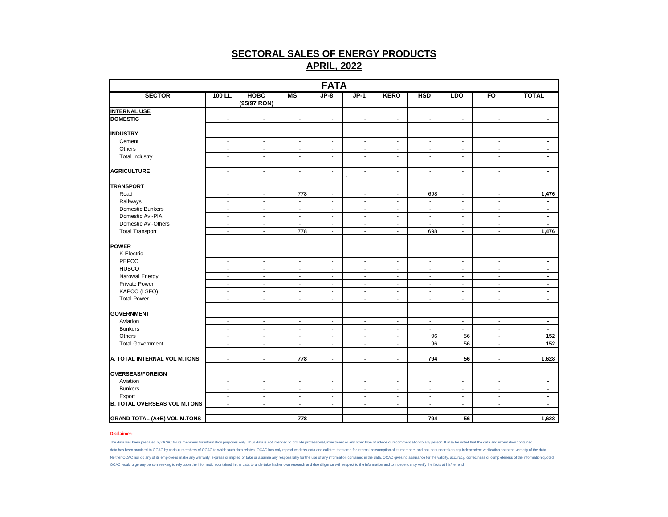|                                     |                          |                            |                          | <b>FATA</b>              |                          |                          |                          |                          |                          |                |
|-------------------------------------|--------------------------|----------------------------|--------------------------|--------------------------|--------------------------|--------------------------|--------------------------|--------------------------|--------------------------|----------------|
| <b>SECTOR</b>                       | $100$ LL                 | <b>HOBC</b><br>(95/97 RON) | <b>MS</b>                | $JP-8$                   | $JP-1$                   | <b>KERO</b>              | <b>HSD</b>               | <b>LDO</b>               | FO                       | <b>TOTAL</b>   |
| <b>INTERNAL USE</b>                 |                          |                            |                          |                          |                          |                          |                          |                          |                          |                |
| <b>DOMESTIC</b>                     | $\sim$                   | $\sim$                     | $\overline{\phantom{a}}$ | $\sim$                   | $\sim$                   | $\overline{\phantom{a}}$ | $\overline{\phantom{a}}$ | $\sim$                   | $\overline{\phantom{a}}$ | $\blacksquare$ |
| <b>INDUSTRY</b>                     |                          |                            |                          |                          |                          |                          |                          |                          |                          |                |
| Cement                              | $\blacksquare$           | $\sim$                     | $\overline{\phantom{a}}$ | $\sim$                   | $\blacksquare$           | $\overline{\phantom{a}}$ | $\blacksquare$           | $\sim$                   | $\sim$                   | $\sim$         |
| Others                              | $\blacksquare$           | $\blacksquare$             | $\blacksquare$           | $\overline{\phantom{a}}$ | $\blacksquare$           | $\overline{\phantom{a}}$ | $\overline{a}$           | $\sim$                   | $\sim$                   | $\sim$         |
| <b>Total Industry</b>               | $\sim$                   | $\sim$                     | $\overline{\phantom{a}}$ | $\blacksquare$           | $\overline{a}$           | $\blacksquare$           | $\sim$                   | $\sim$                   | $\sim$                   | $\sim$         |
| <b>AGRICULTURE</b>                  | $\sim$                   | $\sim$                     | $\overline{\phantom{a}}$ | $\sim$                   | $\overline{\phantom{a}}$ | $\overline{\phantom{a}}$ | $\overline{\phantom{a}}$ | $\overline{\phantom{a}}$ | $\overline{\phantom{a}}$ | $\sim$         |
| <b>TRANSPORT</b>                    |                          |                            |                          |                          |                          |                          |                          |                          |                          |                |
| Road                                | $\overline{\phantom{a}}$ | $\sim$                     | 778                      | $\sim$                   | $\sim$                   | $\sim$                   | 698                      | $\sim$                   | $\sim$                   | 1,476          |
| Railways                            | $\sim$                   | $\sim$                     | $\overline{\phantom{a}}$ | $\sim$                   | $\sim$                   | $\blacksquare$           | $\blacksquare$           | $\sim$                   | $\sim$                   | $\sim$         |
| Domestic Bunkers                    | $\overline{\phantom{a}}$ | $\sim$                     | $\blacksquare$           | $\overline{\phantom{a}}$ | $\overline{\phantom{a}}$ | $\blacksquare$           | $\blacksquare$           | $\sim$                   | $\overline{\phantom{a}}$ | $\blacksquare$ |
| Domestic Avi-PIA                    | $\blacksquare$           | $\blacksquare$             | $\overline{\phantom{a}}$ | $\blacksquare$           | $\blacksquare$           | $\blacksquare$           | ÷,                       | $\sim$                   | $\blacksquare$           | $\sim$         |
| Domestic Avi-Others                 | $\sim$                   | $\sim$                     | $\blacksquare$           | $\sim$                   | $\blacksquare$           | $\overline{\phantom{a}}$ | $\blacksquare$           | $\blacksquare$           | $\sim$                   | $\sim$         |
| <b>Total Transport</b>              | $\sim$                   | $\mathbf{r}$               | 778                      | $\blacksquare$           | $\blacksquare$           | $\blacksquare$           | 698                      | $\blacksquare$           | $\blacksquare$           | 1,476          |
| POWER                               |                          |                            |                          |                          |                          |                          |                          |                          |                          |                |
| K-Electric                          | $\blacksquare$           | $\sim$                     | $\overline{\phantom{a}}$ | $\blacksquare$           | $\overline{\phantom{a}}$ | $\overline{\phantom{a}}$ | $\blacksquare$           | $\blacksquare$           | $\overline{\phantom{a}}$ | $\blacksquare$ |
| PEPCO                               | $\overline{\phantom{a}}$ | $\blacksquare$             | $\overline{\phantom{a}}$ | $\sim$                   | $\overline{\phantom{a}}$ | $\overline{\phantom{a}}$ | $\overline{\phantom{a}}$ | $\sim$                   | $\overline{\phantom{a}}$ | $\blacksquare$ |
| <b>HUBCO</b>                        | $\blacksquare$           | $\blacksquare$             | $\overline{\phantom{a}}$ | $\overline{\phantom{a}}$ | $\overline{\phantom{a}}$ | $\overline{\phantom{a}}$ | $\blacksquare$           | $\blacksquare$           | $\overline{\phantom{a}}$ | $\blacksquare$ |
| Narowal Energy                      | $\sim$                   | $\sim$                     | $\overline{\phantom{a}}$ | $\sim$                   | $\blacksquare$           | $\sim$                   | $\sim$                   | $\sim$                   | $\sim$                   | $\sim$         |
| <b>Private Power</b>                | $\mathbf{r}$             | $\mathbf{r}$               | $\mathbf{r}$             | $\blacksquare$           | $\tilde{\phantom{a}}$    | $\blacksquare$           | $\mathbf{r}$             | $\mathcal{L}$            | $\mathbf{r}$             | $\blacksquare$ |
| KAPCO (LSFO)                        | $\blacksquare$           | $\blacksquare$             | $\overline{\phantom{a}}$ | $\overline{\phantom{a}}$ | $\blacksquare$           | $\overline{\phantom{a}}$ | $\overline{a}$           | $\blacksquare$           | $\overline{\phantom{a}}$ | $\blacksquare$ |
| <b>Total Power</b>                  | $\overline{\phantom{a}}$ | $\sim$                     | $\overline{\phantom{a}}$ | $\sim$                   | $\overline{\phantom{a}}$ | $\sim$                   | $\overline{\phantom{a}}$ | $\sim$                   | $\sim$                   | $\sim$         |
| <b>GOVERNMENT</b>                   |                          |                            |                          |                          |                          |                          |                          |                          |                          |                |
| Aviation                            | $\overline{\phantom{a}}$ | $\blacksquare$             | $\overline{\phantom{a}}$ | $\overline{\phantom{a}}$ | $\overline{\phantom{a}}$ | $\overline{\phantom{a}}$ | $\overline{a}$           | $\blacksquare$           | $\overline{\phantom{a}}$ | $\blacksquare$ |
| <b>Bunkers</b>                      | $\sim$                   | $\sim$                     | $\overline{\phantom{a}}$ | $\sim$                   | $\sim$                   | $\overline{\phantom{a}}$ | $\sim$                   | $\sim$                   | $\sim$                   | $\sim$         |
| Others                              | $\blacksquare$           | $\sim$                     | $\overline{\phantom{a}}$ | $\blacksquare$           | $\blacksquare$           | $\overline{\phantom{a}}$ | 96                       | 56                       | $\blacksquare$           | 152            |
| <b>Total Government</b>             | $\blacksquare$           | $\blacksquare$             | $\overline{\phantom{a}}$ | $\overline{\phantom{a}}$ | $\overline{\phantom{a}}$ | $\overline{\phantom{a}}$ | 96                       | 56                       | $\overline{\phantom{a}}$ | 152            |
| A. TOTAL INTERNAL VOL M.TONS        | $\blacksquare$           | $\blacksquare$             | 778                      | $\blacksquare$           | $\blacksquare$           | $\blacksquare$           | 794                      | 56                       | $\blacksquare$           | 1,628          |
|                                     |                          |                            |                          |                          |                          |                          |                          |                          |                          |                |
| <b>OVERSEAS/FOREIGN</b>             |                          |                            |                          |                          |                          |                          |                          |                          |                          |                |
| Aviation                            | $\sim$                   | $\sim$                     | $\overline{\phantom{a}}$ | $\sim$                   | $\sim$                   | $\overline{\phantom{a}}$ | $\overline{\phantom{a}}$ | $\sim$                   | $\overline{\phantom{a}}$ | $\sim$         |
| <b>Bunkers</b>                      | $\blacksquare$           | $\mathbf{r}$               | $\blacksquare$           | $\mathbf{r}$             | $\tilde{\phantom{a}}$    | $\blacksquare$           | $\mathbf{r}$             | $\mathcal{L}$            | $\sim$                   | $\blacksquare$ |
| Export                              | $\blacksquare$           | $\blacksquare$             | $\blacksquare$           | $\blacksquare$           | $\overline{\phantom{a}}$ | $\blacksquare$           | $\blacksquare$           | $\blacksquare$           | $\blacksquare$           | $\blacksquare$ |
| <b>B. TOTAL OVERSEAS VOL M.TONS</b> | $\blacksquare$           | $\blacksquare$             | $\blacksquare$           | $\blacksquare$           | $\blacksquare$           | $\blacksquare$           | $\blacksquare$           | $\sim$                   | $\blacksquare$           | $\blacksquare$ |
| <b>GRAND TOTAL (A+B) VOL M.TONS</b> | $\blacksquare$           | $\sim$                     | 778                      | $\blacksquare$           | $\blacksquare$           | $\blacksquare$           | 794                      | 56                       | $\blacksquare$           | 1,628          |

#### **Disclaimer:**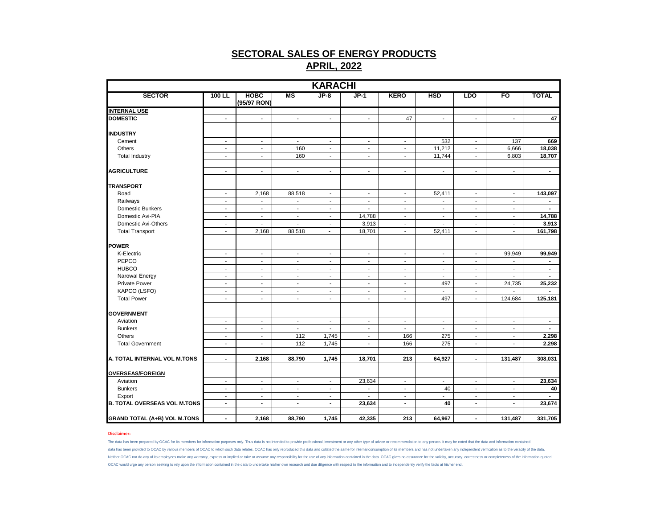|                                     |                          |                            |                          | <b>KARACHI</b>           |                          |                          |                          |                          |                          |                |
|-------------------------------------|--------------------------|----------------------------|--------------------------|--------------------------|--------------------------|--------------------------|--------------------------|--------------------------|--------------------------|----------------|
| <b>SECTOR</b>                       | 100 LL                   | <b>HOBC</b><br>(95/97 RON) | MS                       | $JP-8$                   | $JP-1$                   | <b>KERO</b>              | <b>HSD</b>               | <b>LDO</b>               | F <sub>O</sub>           | <b>TOTAL</b>   |
| <b>INTERNAL USE</b>                 |                          |                            |                          |                          |                          |                          |                          |                          |                          |                |
| <b>DOMESTIC</b>                     | $\blacksquare$           | $\overline{\phantom{a}}$   | $\overline{\phantom{a}}$ | $\blacksquare$           | $\sim$                   | 47                       | $\overline{\phantom{a}}$ | $\sim$                   | $\sim$                   | 47             |
| <b>INDUSTRY</b>                     |                          |                            |                          |                          |                          |                          |                          |                          |                          |                |
| Cement                              | $\overline{\phantom{a}}$ | $\overline{\phantom{a}}$   | $\overline{\phantom{a}}$ | $\overline{\phantom{a}}$ | $\blacksquare$           | $\overline{\phantom{a}}$ | 532                      | $\overline{\phantom{a}}$ | 137                      | 669            |
| Others                              | $\blacksquare$           | $\blacksquare$             | 160                      | $\sim$                   | $\sim$                   | $\sim$                   | 11,212                   | $\sim$                   | 6,666                    | 18,038         |
| <b>Total Industry</b>               | $\blacksquare$           | $\blacksquare$             | 160                      | $\blacksquare$           | $\sim$                   | $\blacksquare$           | 11,744                   | $\sim$                   | 6,803                    | 18,707         |
| <b>AGRICULTURE</b>                  | $\overline{\phantom{a}}$ | $\overline{\phantom{a}}$   | $\overline{\phantom{a}}$ | $\overline{\phantom{a}}$ | $\overline{\phantom{a}}$ | $\overline{\phantom{a}}$ | $\blacksquare$           | $\sim$                   | $\overline{\phantom{a}}$ | $\blacksquare$ |
|                                     |                          |                            |                          |                          |                          |                          |                          |                          |                          |                |
| <b>TRANSPORT</b>                    |                          |                            |                          |                          |                          |                          |                          |                          |                          |                |
| Road                                | ÷,                       | 2,168                      | 88,518                   | $\sim$                   | $\blacksquare$           | $\blacksquare$           | 52,411                   | $\blacksquare$           | $\blacksquare$           | 143,097        |
| Railways                            | $\blacksquare$           | $\overline{\phantom{a}}$   | $\overline{\phantom{a}}$ | $\sim$                   | $\overline{\phantom{a}}$ | $\blacksquare$           | $\overline{\phantom{a}}$ | $\sim$                   | $\blacksquare$           | $\sim$         |
| Domestic Bunkers                    | $\blacksquare$           | $\blacksquare$             | $\blacksquare$           | $\sim$                   | $\mathbf{r}$             | $\blacksquare$           | $\sim$                   | $\sim$                   | $\mathbf{r}$             | $\sim$         |
| Domestic Avi-PIA                    | $\overline{\phantom{a}}$ | $\blacksquare$             | $\overline{\phantom{a}}$ | $\overline{\phantom{a}}$ | 14,788                   | $\overline{\phantom{a}}$ | $\overline{\phantom{a}}$ | $\sim$                   | $\sim$                   | 14,788         |
| Domestic Avi-Others                 | $\sim$                   | $\overline{\phantom{a}}$   | $\overline{\phantom{a}}$ | $\sim$                   | 3,913                    | $\sim$                   | $\blacksquare$           | $\sim$                   | $\sim$                   | 3,913          |
| <b>Total Transport</b>              | $\blacksquare$           | 2,168                      | 88,518                   | $\overline{\phantom{a}}$ | 18,701                   | $\blacksquare$           | 52,411                   | $\sim$                   | $\blacksquare$           | 161,798        |
| <b>POWER</b>                        |                          |                            |                          |                          |                          |                          |                          |                          |                          |                |
| K-Electric                          | $\overline{\phantom{a}}$ | $\overline{\phantom{a}}$   | $\overline{\phantom{a}}$ | $\sim$                   | $\sim$                   | $\sim$                   | $\overline{\phantom{a}}$ | $\sim$                   | 99,949                   | 99,949         |
| PEPCO                               | $\blacksquare$           | $\blacksquare$             | $\blacksquare$           | $\sim$                   | $\sim$                   | $\sim$                   | $\blacksquare$           | $\sim$                   | $\sim$                   | $\blacksquare$ |
| <b>HUBCO</b>                        | $\blacksquare$           | $\overline{\phantom{a}}$   | $\overline{\phantom{a}}$ | $\sim$                   | $\overline{\phantom{a}}$ | $\overline{\phantom{a}}$ | $\overline{\phantom{a}}$ | $\overline{\phantom{a}}$ | $\overline{\phantom{a}}$ | $\blacksquare$ |
| Narowal Energy                      | $\blacksquare$           | $\blacksquare$             | $\overline{\phantom{a}}$ | $\overline{\phantom{a}}$ | $\sim$                   | $\sim$                   | $\blacksquare$           | $\sim$                   | $\sim$                   | $\blacksquare$ |
| Private Power                       | $\sim$                   | $\overline{\phantom{a}}$   | $\overline{\phantom{a}}$ | $\sim$                   | $\sim$                   | $\sim$                   | 497                      | $\sim$                   | 24,735                   | 25,232         |
| KAPCO (LSFO)                        | $\overline{a}$           | $\overline{a}$             | $\blacksquare$           | $\blacksquare$           | $\overline{a}$           | $\sim$                   |                          | $\sim$                   |                          |                |
| <b>Total Power</b>                  | $\blacksquare$           | $\blacksquare$             | $\blacksquare$           | $\overline{\phantom{a}}$ | $\blacksquare$           | $\blacksquare$           | 497                      | $\blacksquare$           | 124,684                  | 125,181        |
| <b>GOVERNMENT</b>                   |                          |                            |                          |                          |                          |                          |                          |                          |                          |                |
| Aviation                            | $\blacksquare$           | $\blacksquare$             | $\blacksquare$           | $\sim$                   | $\overline{\phantom{a}}$ | $\sim$                   | $\blacksquare$           | $\blacksquare$           | $\sim$                   | $\blacksquare$ |
| <b>Bunkers</b>                      | $\overline{\phantom{a}}$ | $\overline{\phantom{a}}$   | $\overline{\phantom{a}}$ | $\overline{\phantom{a}}$ | $\overline{\phantom{a}}$ | $\overline{\phantom{a}}$ | $\overline{\phantom{a}}$ | $\overline{\phantom{a}}$ | $\overline{\phantom{a}}$ | $\blacksquare$ |
| Others                              | $\sim$                   | $\blacksquare$             | 112                      | 1,745                    | $\overline{\phantom{a}}$ | 166                      | 275                      | $\sim$                   | $\sim$                   | 2,298          |
| <b>Total Government</b>             | $\blacksquare$           | $\blacksquare$             | 112                      | 1,745                    | ÷.                       | 166                      | 275                      | $\sim$                   | $\mathbf{r}$             | 2,298          |
|                                     |                          |                            |                          |                          |                          |                          |                          |                          |                          |                |
| A. TOTAL INTERNAL VOL M.TONS        | $\blacksquare$           | 2,168                      | 88,790                   | 1,745                    | 18,701                   | 213                      | 64,927                   | $\blacksquare$           | 131,487                  | 308,031        |
| <b>OVERSEAS/FOREIGN</b>             |                          |                            |                          |                          |                          |                          |                          |                          |                          |                |
| Aviation                            | $\overline{\phantom{a}}$ | $\overline{\phantom{a}}$   | $\overline{\phantom{a}}$ | $\overline{\phantom{a}}$ | 23,634                   | $\overline{\phantom{a}}$ | $\blacksquare$           | $\overline{\phantom{a}}$ | $\overline{\phantom{a}}$ | 23,634         |
| <b>Bunkers</b>                      | $\sim$                   | $\overline{\phantom{a}}$   | $\overline{\phantom{a}}$ | $\sim$                   | $\overline{\phantom{a}}$ | $\sim$                   | 40                       | $\sim$                   | $\sim$                   | 40             |
| Export                              | $\sim$                   | $\blacksquare$             | $\overline{\phantom{a}}$ | $\blacksquare$           | ÷,                       | $\blacksquare$           | $\blacksquare$           | $\blacksquare$           | $\sim$                   |                |
| <b>B. TOTAL OVERSEAS VOL M.TONS</b> | $\blacksquare$           | $\overline{a}$             | $\blacksquare$           | $\blacksquare$           | 23,634                   | $\blacksquare$           | 40                       | $\mathbf{r}$             | $\blacksquare$           | 23,674         |
| <b>GRAND TOTAL (A+B) VOL M.TONS</b> | $\blacksquare$           | 2,168                      | 88,790                   | 1,745                    | 42,335                   | 213                      | 64,967                   | $\blacksquare$           | 131,487                  | 331,705        |

### **Disclaimer:**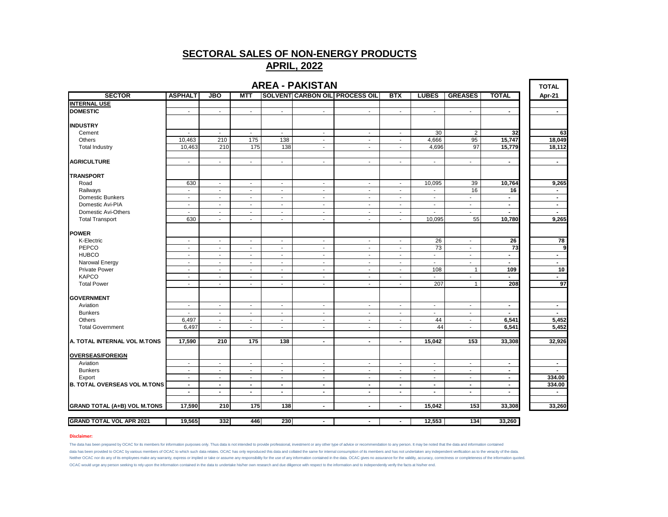# **APRIL, 2022**

| <b>AREA - PAKISTAN</b><br><b>TOTAL</b><br><b>SOLVENT CARBON OIL PROCESS OIL</b> |                          |                          |                          |                          |                          |                          |                          |                          |                          |                          |                          |  |
|---------------------------------------------------------------------------------|--------------------------|--------------------------|--------------------------|--------------------------|--------------------------|--------------------------|--------------------------|--------------------------|--------------------------|--------------------------|--------------------------|--|
| <b>SECTOR</b>                                                                   | <b>ASPHALT</b>           | <b>JBO</b>               | <b>MTT</b>               |                          |                          |                          | <b>BTX</b>               | <b>LUBES</b>             | <b>GREASES</b>           | <b>TOTAL</b>             | Apr-21                   |  |
| <b>INTERNAL USE</b>                                                             |                          |                          |                          |                          |                          |                          |                          |                          |                          |                          |                          |  |
| <b>DOMESTIC</b>                                                                 | $\mathbf{r}$             | $\sim$                   | $\blacksquare$           | $\mathbf{r}$             | $\omega$                 | $\mathbf{r}$             | ÷                        | $\blacksquare$           | $\sim$                   | $\blacksquare$           | $\sim$                   |  |
| <b>INDUSTRY</b>                                                                 |                          |                          |                          |                          |                          |                          |                          |                          |                          |                          |                          |  |
| Cement                                                                          | $\overline{\phantom{a}}$ | $\overline{\phantom{a}}$ | $\overline{\phantom{a}}$ | $\overline{\phantom{a}}$ | $\blacksquare$           | $\overline{\phantom{a}}$ | $\blacksquare$           | 30                       | $\overline{2}$           | 32                       | 63                       |  |
| Others                                                                          | 10,463                   | 210                      | 175                      | 138                      | $\sim$                   | $\overline{\phantom{a}}$ | $\overline{a}$           | 4,666                    | 95                       | 15,747                   | 18,049                   |  |
| <b>Total Industry</b>                                                           | 10,463                   | 210                      | 175                      | 138                      | $\blacksquare$           | $\blacksquare$           | $\blacksquare$           | 4,696                    | 97                       | 15,779                   | 18,112                   |  |
| <b>AGRICULTURE</b>                                                              | $\sim$                   | $\sim$                   | $\blacksquare$           | $\sim$                   | $\sim$                   | $\sim$                   | $\blacksquare$           | $\sim$                   | $\sim$                   | $\blacksquare$           | $\sim$                   |  |
| <b>TRANSPORT</b>                                                                |                          |                          |                          |                          |                          |                          |                          |                          |                          |                          |                          |  |
| Road                                                                            | 630                      | $\sim$                   | $\blacksquare$           | $\blacksquare$           | $\sim$                   | $\sim$                   | $\sim$                   | 10,095                   | 39                       | 10,764                   | 9,265                    |  |
| Railways                                                                        | $\blacksquare$           | $\sim$                   | $\blacksquare$           | $\sim$                   | $\sim$                   | $\mathbf{r}$             | $\mathbf{r}$             | $\sim$                   | 16                       | 16                       | $\blacksquare$           |  |
| <b>Domestic Bunkers</b>                                                         | $\blacksquare$           | $\sim$                   | $\blacksquare$           | $\overline{\phantom{a}}$ | $\blacksquare$           | $\overline{\phantom{a}}$ | $\blacksquare$           | $\overline{\phantom{a}}$ | $\blacksquare$           | $\blacksquare$           | $\blacksquare$           |  |
| Domestic Avi-PIA                                                                | $\blacksquare$           | $\overline{\phantom{a}}$ | $\overline{\phantom{a}}$ | $\overline{\phantom{a}}$ | $\blacksquare$           | $\overline{\phantom{a}}$ | $\frac{1}{2}$            | $\overline{\phantom{a}}$ | $\blacksquare$           | $\blacksquare$           | $\sim$                   |  |
| Domestic Avi-Others                                                             | $\sim$                   | $\sim$                   | ÷,                       | $\blacksquare$           | $\blacksquare$           | $\sim$                   | $\overline{\phantom{a}}$ |                          | ÷                        | $\blacksquare$           | $\blacksquare$           |  |
| <b>Total Transport</b>                                                          | 630                      | $\sim$                   | ٠                        | $\overline{\phantom{a}}$ | $\sim$                   | $\overline{\phantom{a}}$ | $\blacksquare$           | 10,095                   | 55                       | 10,780                   | 9,265                    |  |
| <b>POWER</b>                                                                    |                          |                          |                          |                          |                          |                          |                          |                          |                          |                          |                          |  |
| K-Electric                                                                      | $\sim$                   | $\sim$                   | $\sim$                   | $\sim$                   | $\blacksquare$           | $\sim$                   | $\overline{\phantom{a}}$ | 26                       | $\sim$                   | 26                       | 78                       |  |
| PEPCO                                                                           | $\overline{\phantom{a}}$ | $\blacksquare$           | $\blacksquare$           | $\blacksquare$           | $\blacksquare$           | $\sim$                   | $\overline{a}$           | 73                       | $\blacksquare$           | $\overline{73}$          | 9                        |  |
| <b>HUBCO</b>                                                                    | $\sim$                   | $\sim$                   | $\sim$                   | $\overline{\phantom{a}}$ | $\sim$                   | $\sim$                   | $\blacksquare$           | $\sim$                   | $\sim$                   | $\blacksquare$           | $\blacksquare$           |  |
| Narowal Energy                                                                  | $\sim$                   | $\sim$                   | $\sim$                   | $\sim$                   | $\sim$                   | $\sim$                   | $\blacksquare$           | $\sim$                   | $\sim$                   | $\blacksquare$           | $\blacksquare$           |  |
| <b>Private Power</b>                                                            | $\blacksquare$           | $\blacksquare$           | $\blacksquare$           | $\mathbf{r}$             | $\blacksquare$           | $\sim$                   | $\sim$                   | 108                      | $\mathbf{1}$             | 109                      | 10                       |  |
| <b>KAPCO</b>                                                                    | $\blacksquare$           | $\overline{\phantom{a}}$ | $\overline{\phantom{a}}$ | $\overline{\phantom{a}}$ | $\sim$                   | $\sim$                   | ÷,                       |                          | $\overline{\phantom{a}}$ | $\blacksquare$           |                          |  |
| <b>Total Power</b>                                                              | ÷,                       |                          |                          | $\overline{\phantom{a}}$ | $\overline{\phantom{a}}$ | $\overline{a}$           | ÷,                       | 207                      | $\mathbf{1}$             | 208                      | 97                       |  |
| <b>GOVERNMENT</b>                                                               |                          |                          |                          |                          |                          |                          |                          |                          |                          |                          |                          |  |
| Aviation                                                                        | $\sim$                   | $\blacksquare$           | $\sim$                   | $\sim$                   | $\sim$                   | $\sim$                   | $\blacksquare$           | $\sim$                   | $\sim$                   | $\sim$                   | $\blacksquare$           |  |
| <b>Bunkers</b>                                                                  | $\sim$                   | $\overline{\phantom{a}}$ | $\blacksquare$           | $\sim$                   | $\sim$                   | $\sim$                   | $\sim$                   | $\sim$                   | $\sim$                   | $\overline{\phantom{0}}$ | $\overline{\phantom{a}}$ |  |
| Others                                                                          | 6,497                    | $\sim$                   | $\sim$                   | $\sim$                   | $\blacksquare$           | $\sim$                   | $\blacksquare$           | 44                       | $\sim$                   | 6,541                    | 5,452                    |  |
| <b>Total Government</b>                                                         | 6,497                    | $\sim$                   | ÷                        | $\sim$                   | $\sim$                   | $\sim$                   | $\sim$                   | 44                       | $\sim$                   | 6,541                    | 5,452                    |  |
| A. TOTAL INTERNAL VOL M.TONS                                                    | 17,590                   | 210                      | 175                      | 138                      | $\blacksquare$           | $\blacksquare$           | $\blacksquare$           | 15,042                   | 153                      | 33,308                   | 32,926                   |  |
| <b>OVERSEAS/FOREIGN</b>                                                         |                          |                          |                          |                          |                          |                          |                          |                          |                          |                          |                          |  |
| Aviation                                                                        | $\sim$                   | $\overline{\phantom{a}}$ | $\blacksquare$           | $\overline{\phantom{a}}$ | $\sim$                   | $\blacksquare$           | $\overline{\phantom{a}}$ | $\overline{\phantom{a}}$ | $\sim$                   | $\blacksquare$           | $\blacksquare$           |  |
| <b>Bunkers</b>                                                                  | $\sim$                   | $\sim$                   | $\blacksquare$           | $\sim$                   | $\blacksquare$           | $\blacksquare$           | $\overline{\phantom{a}}$ | $\sim$                   | $\sim$                   | $\blacksquare$           | $\blacksquare$           |  |
| Export                                                                          | $\sim$                   | $\blacksquare$           | $\blacksquare$           | $\blacksquare$           | $\blacksquare$           | $\sim$                   | $\overline{\phantom{a}}$ | $\overline{\phantom{a}}$ | $\sim$                   | $\blacksquare$           | 334.00                   |  |
| <b>B. TOTAL OVERSEAS VOL M.TONS</b>                                             | $\blacksquare$           | $\blacksquare$           | $\blacksquare$           | $\blacksquare$           | $\blacksquare$           | $\blacksquare$           | $\blacksquare$           | $\blacksquare$           | $\sim$                   | $\blacksquare$           | 334.00                   |  |
|                                                                                 | $\blacksquare$           | $\blacksquare$           | $\blacksquare$           | $\blacksquare$           | $\blacksquare$           | $\blacksquare$           | $\blacksquare$           | $\blacksquare$           | $\blacksquare$           | $\blacksquare$           | $\sim$                   |  |
| <b>GRAND TOTAL (A+B) VOL M.TONS</b>                                             | 17,590                   | 210                      | 175                      | 138                      | $\blacksquare$           | $\blacksquare$           | $\blacksquare$           | 15,042                   | 153                      | 33,308                   | 33,260                   |  |
|                                                                                 |                          |                          |                          |                          |                          |                          |                          |                          |                          |                          |                          |  |
| <b>GRAND TOTAL VOL APR 2021</b>                                                 | 19,565                   | 332                      | 446                      | 230                      | $\blacksquare$           | $\blacksquare$           | $\blacksquare$           | 12,553                   | 134                      | 33,260                   |                          |  |

#### **Disclaimer:**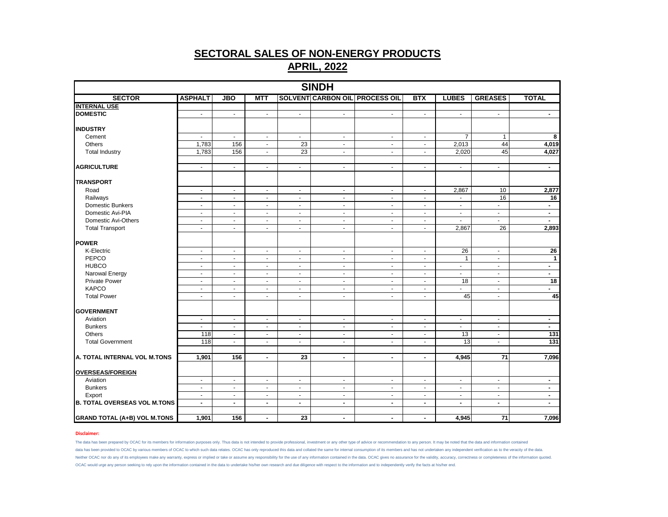|                                     |                  |                          |                          |                 | <b>SINDH</b>   |                                       |                |                 |                 |                  |
|-------------------------------------|------------------|--------------------------|--------------------------|-----------------|----------------|---------------------------------------|----------------|-----------------|-----------------|------------------|
| <b>SECTOR</b>                       | <b>ASPHALT</b>   | <b>JBO</b>               | <b>MTT</b>               |                 |                | <b>SOLVENT CARBON OIL PROCESS OIL</b> | <b>BTX</b>     | <b>LUBES</b>    | <b>GREASES</b>  | <b>TOTAL</b>     |
| <b>INTERNAL USE</b>                 |                  |                          |                          |                 |                |                                       |                |                 |                 |                  |
| <b>DOMESTIC</b>                     | $\sim$           | $\blacksquare$           | $\blacksquare$           | $\sim$          | $\sim$         | $\sim$                                | $\blacksquare$ | $\blacksquare$  | $\sim$          | $\sim$           |
|                                     |                  |                          |                          |                 |                |                                       |                |                 |                 |                  |
| <b>INDUSTRY</b>                     |                  |                          |                          |                 |                |                                       |                |                 |                 |                  |
| Cement                              | $\blacksquare$   | $\blacksquare$           | $\blacksquare$           | $\omega$        | $\blacksquare$ | $\blacksquare$                        | $\blacksquare$ | $\overline{7}$  | $\mathbf{1}$    | 8                |
| <b>Others</b>                       | 1,783            | 156                      | $\overline{\phantom{a}}$ | 23              | $\blacksquare$ | $\omega$                              | $\omega$       | 2,013           | 44              | 4,019            |
| <b>Total Industry</b>               | 1,783            | 156                      | $\blacksquare$           | 23              | $\blacksquare$ | $\blacksquare$                        | $\blacksquare$ | 2,020           | 45              | 4,027            |
|                                     |                  |                          |                          |                 |                |                                       |                |                 |                 |                  |
| <b>AGRICULTURE</b>                  | $\blacksquare$   | $\blacksquare$           | $\blacksquare$           | $\blacksquare$  | $\blacksquare$ | $\blacksquare$                        | $\blacksquare$ | $\blacksquare$  | $\blacksquare$  | $\sim$           |
| <b>TRANSPORT</b>                    |                  |                          |                          |                 |                |                                       |                |                 |                 |                  |
| Road                                | $\blacksquare$   | $\blacksquare$           | $\blacksquare$           | $\sim$          | $\blacksquare$ | $\sim$                                | $\blacksquare$ | 2,867           | 10              | 2,877            |
| Railways                            | $\blacksquare$   | $\blacksquare$           | $\blacksquare$           | $\blacksquare$  | $\blacksquare$ | $\blacksquare$                        | $\blacksquare$ | $\blacksquare$  | 16              | 16               |
| <b>Domestic Bunkers</b>             | $\blacksquare$   | $\sim$                   | $\omega$                 | $\blacksquare$  | $\sim$         | $\sim$                                | $\blacksquare$ | $\mathbf{u}$    | $\sim$          | $\sim$           |
| Domestic Avi-PIA                    | $\blacksquare$   | $\blacksquare$           | $\blacksquare$           | $\sim$          | $\blacksquare$ | $\blacksquare$                        | $\blacksquare$ | $\blacksquare$  | $\blacksquare$  | $\sim$           |
| Domestic Avi-Others                 | $\blacksquare$   | $\blacksquare$           | $\blacksquare$           | $\blacksquare$  | $\blacksquare$ | $\blacksquare$                        | $\blacksquare$ | ÷               | $\blacksquare$  | $\sim$           |
| <b>Total Transport</b>              | $\mathbf{r}$     | $\mathbf{r}$             | $\mathbf{u}$             | $\omega$        | $\sim$         | $\omega$                              | $\sim$         | 2,867           | 26              | 2,893            |
|                                     |                  |                          |                          |                 |                |                                       |                |                 |                 |                  |
| <b>POWER</b>                        |                  |                          |                          |                 |                |                                       |                |                 |                 |                  |
| K-Electric                          | $\blacksquare$   | $\blacksquare$           | $\blacksquare$           | $\blacksquare$  | $\blacksquare$ | $\sim$                                | $\blacksquare$ | 26              | $\sim$          | $\overline{26}$  |
| PEPCO                               | $\blacksquare$   | $\blacksquare$           | $\blacksquare$           | $\blacksquare$  | $\blacksquare$ | $\blacksquare$                        | $\blacksquare$ | $\mathbf{1}$    | $\blacksquare$  | $\mathbf{1}$     |
| <b>HUBCO</b>                        | $\blacksquare$   | $\overline{\phantom{a}}$ | $\blacksquare$           | $\blacksquare$  | $\blacksquare$ | $\blacksquare$                        | $\blacksquare$ | ä,              | $\blacksquare$  | $\blacksquare$   |
| Narowal Energy                      | $\sim$           | $\sim$                   | $\sim$                   | $\sim$          | $\sim$         | $\sim$                                | $\sim$         | $\blacksquare$  | $\sim$          | $\sim$           |
| <b>Private Power</b>                | $\blacksquare$   | $\blacksquare$           | $\blacksquare$           | $\blacksquare$  | $\blacksquare$ | $\blacksquare$                        | $\blacksquare$ | $\overline{18}$ | $\blacksquare$  | $\overline{18}$  |
| <b>KAPCO</b>                        | $\omega$         | $\overline{\phantom{a}}$ | $\mathbf{u}$             | $\blacksquare$  | $\blacksquare$ | $\blacksquare$                        | $\blacksquare$ | $\blacksquare$  | $\blacksquare$  | $\mathbf{r}$     |
| <b>Total Power</b>                  | $\sim$           | $\blacksquare$           | $\blacksquare$           | $\sim$          | $\sim$         | $\sim$                                | $\sim$         | 45              | $\sim$          | 45               |
| <b>GOVERNMENT</b>                   |                  |                          |                          |                 |                |                                       |                |                 |                 |                  |
| Aviation                            | $\blacksquare$   | $\blacksquare$           | $\blacksquare$           | $\blacksquare$  | $\blacksquare$ | $\sim$                                | $\blacksquare$ | $\blacksquare$  | $\sim$          | $\sim$           |
| <b>Bunkers</b>                      | $\sim$           | $\blacksquare$           | $\overline{\phantom{a}}$ | $\blacksquare$  | $\sim$         | $\blacksquare$                        | $\blacksquare$ | $\blacksquare$  | $\blacksquare$  | $\sim$           |
| <b>Others</b>                       | $\overline{118}$ | $\blacksquare$           | $\blacksquare$           | $\blacksquare$  | $\blacksquare$ | $\blacksquare$                        | $\blacksquare$ | 13              | $\blacksquare$  | $\overline{131}$ |
| <b>Total Government</b>             | 118              | $\sim$                   | $\blacksquare$           | $\sim$          | $\blacksquare$ | $\sim$                                | $\sim$         | 13              | $\sim$          | 131              |
|                                     |                  |                          |                          |                 |                |                                       |                |                 |                 |                  |
| A. TOTAL INTERNAL VOL M.TONS        | 1,901            | 156                      | $\blacksquare$           | $\overline{23}$ | $\blacksquare$ | $\overline{\phantom{a}}$              | $\blacksquare$ | 4,945           | $\overline{71}$ | 7,096            |
| <b>OVERSEAS/FOREIGN</b>             |                  |                          |                          |                 |                |                                       |                |                 |                 |                  |
| Aviation                            | $\sim$           | $\blacksquare$           | $\blacksquare$           | $\blacksquare$  | $\blacksquare$ | $\blacksquare$                        | $\blacksquare$ | $\blacksquare$  | $\blacksquare$  | $\sim$           |
| <b>Bunkers</b>                      | $\blacksquare$   | $\blacksquare$           | $\blacksquare$           | $\blacksquare$  | $\blacksquare$ | $\bullet$                             | $\blacksquare$ | $\blacksquare$  | $\sim$          | $\sim$           |
| Export                              | $\mathbf{r}$     | ä,                       | $\overline{\phantom{a}}$ | $\blacksquare$  | $\sim$         | $\mathbf{r}$                          | $\blacksquare$ | $\blacksquare$  | $\blacksquare$  | $\sim$           |
| <b>B. TOTAL OVERSEAS VOL M.TONS</b> | $\blacksquare$   | $\blacksquare$           | $\blacksquare$           | $\blacksquare$  | $\blacksquare$ | $\blacksquare$                        | $\blacksquare$ | $\blacksquare$  | $\blacksquare$  | $\blacksquare$   |
|                                     |                  |                          |                          |                 |                |                                       |                |                 |                 |                  |
| <b>GRAND TOTAL (A+B) VOL M.TONS</b> | 1,901            | 156                      | $\blacksquare$           | 23              | $\blacksquare$ | $\blacksquare$                        | $\blacksquare$ | 4,945           | 71              | 7,096            |

### **Disclaimer:**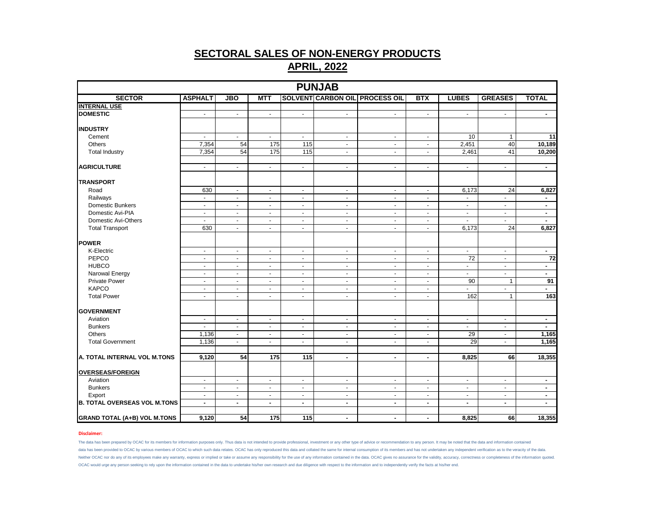| <b>PUNJAB</b><br><b>SOLVENT CARBON OIL PROCESS OIL</b> |                |                  |                             |                  |                |                          |                          |                          |                             |                 |  |  |  |
|--------------------------------------------------------|----------------|------------------|-----------------------------|------------------|----------------|--------------------------|--------------------------|--------------------------|-----------------------------|-----------------|--|--|--|
| <b>SECTOR</b>                                          | <b>ASPHALT</b> | $\overline{JBO}$ | <b>MTT</b>                  |                  |                |                          | <b>BTX</b>               | <b>LUBES</b>             | <b>GREASES</b>              | <b>TOTAL</b>    |  |  |  |
| <b>INTERNAL USE</b>                                    |                |                  |                             |                  |                |                          |                          |                          |                             |                 |  |  |  |
| <b>DOMESTIC</b>                                        | $\blacksquare$ | $\blacksquare$   | $\mathcal{L}_{\mathcal{A}}$ | $\blacksquare$   | $\sim$         | $\blacksquare$           | $\blacksquare$           | $\sim$                   | $\blacksquare$              | $\sim$          |  |  |  |
|                                                        |                |                  |                             |                  |                |                          |                          |                          |                             |                 |  |  |  |
| <b>INDUSTRY</b>                                        |                |                  |                             |                  |                |                          |                          |                          |                             |                 |  |  |  |
| Cement                                                 | $\blacksquare$ | $\omega$         | $\sim$                      | $\blacksquare$   | $\omega$       | $\blacksquare$           | $\sim$                   | 10                       | $\mathbf{1}$                | $\overline{11}$ |  |  |  |
| Others                                                 | 7,354          | 54               | $\frac{175}{2}$             | 115              | $\sim$         | $\sim$                   | $\blacksquare$           | 2,451                    | 40                          | 10,189          |  |  |  |
| <b>Total Industry</b>                                  | 7,354          | 54               | $\frac{175}{2}$             | $\overline{115}$ | $\omega$       |                          | $\blacksquare$           | 2,461                    | 41                          | 10,200          |  |  |  |
| <b>AGRICULTURE</b>                                     | $\sim$         | $\blacksquare$   | $\blacksquare$              | $\blacksquare$   | $\blacksquare$ | $\blacksquare$           | $\blacksquare$           | $\blacksquare$           | $\blacksquare$              | $\blacksquare$  |  |  |  |
| <b>TRANSPORT</b>                                       |                |                  |                             |                  |                |                          |                          |                          |                             |                 |  |  |  |
| Road                                                   | 630            | $\blacksquare$   | $\blacksquare$              | $\blacksquare$   | $\blacksquare$ | $\blacksquare$           | $\overline{\phantom{a}}$ | 6,173                    | 24                          | 6,827           |  |  |  |
| Railways                                               | $\blacksquare$ | $\sim$           | $\sim$                      | $\blacksquare$   | $\blacksquare$ |                          | $\sim$                   |                          | $\overline{\phantom{a}}$    | $\blacksquare$  |  |  |  |
| <b>Domestic Bunkers</b>                                | $\sim$         | $\sim$           | $\sim$                      | $\sim$           | $\sim$         | $\overline{\phantom{a}}$ | $\sim$                   | $\sim$                   | $\mathcal{L}_{\mathcal{C}}$ | $\sim$          |  |  |  |
| Domestic Avi-PIA                                       | $\sim$         | $\blacksquare$   | $\sim$                      | $\blacksquare$   | $\blacksquare$ | $\sim$                   | $\sim$                   | $\overline{\phantom{a}}$ | $\sim$                      | $\blacksquare$  |  |  |  |
| Domestic Avi-Others                                    | $\overline{a}$ | $\sim$           | $\blacksquare$              | $\omega$         | $\blacksquare$ | ÷.                       | ä,                       | ÷.                       | $\blacksquare$              |                 |  |  |  |
| <b>Total Transport</b>                                 | 630            | $\blacksquare$   | $\sim$                      | $\mathbf{r}$     | $\sim$         | $\blacksquare$           | $\blacksquare$           | 6,173                    | $\overline{24}$             | 6,827           |  |  |  |
|                                                        |                |                  |                             |                  |                |                          |                          |                          |                             |                 |  |  |  |
| <b>POWER</b>                                           |                |                  |                             |                  |                |                          |                          |                          |                             |                 |  |  |  |
| K-Electric                                             | $\bullet$      | $\blacksquare$   | $\sim$                      | $\blacksquare$   | $\blacksquare$ | $\blacksquare$           | $\blacksquare$           | $\sim$                   | $\sim$                      | $\sim$          |  |  |  |
| PEPCO                                                  | $\sim$         | $\blacksquare$   | $\sim$                      | $\blacksquare$   | $\mathbf{r}$   | $\sim$                   | $\blacksquare$           | $\overline{72}$          | $\blacksquare$              | 72              |  |  |  |
| <b>HUBCO</b>                                           | $\blacksquare$ | $\blacksquare$   | $\sim$                      | $\blacksquare$   | $\blacksquare$ | $\sim$                   | $\blacksquare$           | $\omega$                 | $\blacksquare$              | $\blacksquare$  |  |  |  |
| Narowal Energy                                         | $\sim$         | $\sim$           | $\sim$                      | $\blacksquare$   | $\sim$         | $\blacksquare$           | $\sim$                   | $\sim$                   | $\blacksquare$              | $\sim$          |  |  |  |
| <b>Private Power</b>                                   | $\omega$       | $\omega$         | $\omega$                    | $\sim$           | $\mathbf{r}$   | ÷.                       | $\blacksquare$           | 90                       | $\mathbf{1}$                | 91              |  |  |  |
| <b>KAPCO</b>                                           | $\blacksquare$ | $\blacksquare$   | $\sim$                      | $\blacksquare$   | $\blacksquare$ | $\sim$                   | $\blacksquare$           | $\blacksquare$           | $\blacksquare$              |                 |  |  |  |
| <b>Total Power</b>                                     | $\blacksquare$ | $\blacksquare$   | $\sim$                      | $\blacksquare$   | $\sim$         | $\sim$                   | $\blacksquare$           | 162                      | $\mathbf{1}$                | 163             |  |  |  |
| <b>GOVERNMENT</b>                                      |                |                  |                             |                  |                |                          |                          |                          |                             |                 |  |  |  |
|                                                        |                |                  |                             |                  |                |                          |                          |                          |                             |                 |  |  |  |
| Aviation                                               | $\blacksquare$ | $\blacksquare$   | $\sim$                      | $\blacksquare$   | $\sim$         | $\overline{\phantom{a}}$ | $\blacksquare$           | $\blacksquare$           | $\sim$                      | $\sim$          |  |  |  |
| <b>Bunkers</b>                                         | $\sim$         | $\blacksquare$   | $\blacksquare$              | $\blacksquare$   | $\blacksquare$ | $\blacksquare$           | $\blacksquare$           | $\sim$                   | $\blacksquare$              | $\sim$          |  |  |  |
| Others                                                 | 1,136          | $\omega$         | $\omega$                    | $\sim$           | $\sim$         | $\sim$                   | $\blacksquare$           | 29                       | $\blacksquare$              | 1,165           |  |  |  |
| <b>Total Government</b>                                | 1,136          | $\sim$           | $\sim$                      | $\blacksquare$   | $\sim$         | $\sim$                   | $\sim$                   | 29                       | $\sim$                      | 1,165           |  |  |  |
| A. TOTAL INTERNAL VOL M.TONS                           | 9,120          | 54               | 175                         | 115              | $\blacksquare$ | $\blacksquare$           | $\blacksquare$           | 8,825                    | 66                          | 18,355          |  |  |  |
| <b>OVERSEAS/FOREIGN</b>                                |                |                  |                             |                  |                |                          |                          |                          |                             |                 |  |  |  |
|                                                        |                | $\omega$         | $\omega$                    | $\mathbf{r}$     | $\mathbf{r}$   |                          | $\sim$                   |                          | $\omega$                    | $\blacksquare$  |  |  |  |
| Aviation                                               | $\blacksquare$ |                  |                             |                  |                | $\blacksquare$           |                          | $\blacksquare$           |                             |                 |  |  |  |
| <b>Bunkers</b>                                         | $\sim$         | $\blacksquare$   | $\sim$                      | $\blacksquare$   | $\blacksquare$ | $\blacksquare$           | $\blacksquare$           | $\sim$                   | $\sim$                      | $\blacksquare$  |  |  |  |
| Export                                                 | $\omega$       | $\omega$         | $\sim$                      | $\blacksquare$   | $\omega$       | $\blacksquare$           | $\blacksquare$           | $\sim$                   | $\blacksquare$              | $\blacksquare$  |  |  |  |
| <b>B. TOTAL OVERSEAS VOL M.TONS</b>                    | $\blacksquare$ | $\blacksquare$   | $\sim$                      | $\blacksquare$   | $\blacksquare$ | $\blacksquare$           | $\sim$                   | $\sim$                   | $\blacksquare$              | $\blacksquare$  |  |  |  |
| <b>GRAND TOTAL (A+B) VOL M.TONS</b>                    | 9,120          | 54               | 175                         | 115              | $\blacksquare$ | $\blacksquare$           | $\blacksquare$           | 8,825                    | 66                          | 18,355          |  |  |  |

### **Disclaimer:**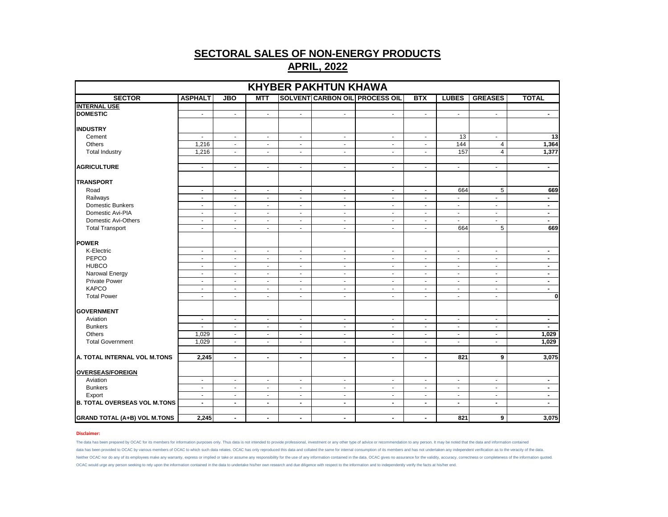| <b>KHYBER PAKHTUN KHAWA</b>         |                          |                |                          |                |                |                                       |                |                |                |                          |  |
|-------------------------------------|--------------------------|----------------|--------------------------|----------------|----------------|---------------------------------------|----------------|----------------|----------------|--------------------------|--|
| <b>SECTOR</b>                       | <b>ASPHALT</b>           | <b>JBO</b>     | <b>MTT</b>               |                |                | <b>SOLVENT CARBON OIL PROCESS OIL</b> | <b>BTX</b>     | <b>LUBES</b>   | <b>GREASES</b> | <b>TOTAL</b>             |  |
| <b>INTERNAL USE</b>                 |                          |                |                          |                |                |                                       |                |                |                |                          |  |
| <b>DOMESTIC</b>                     | $\blacksquare$           | $\blacksquare$ | $\blacksquare$           | $\blacksquare$ | $\blacksquare$ | $\blacksquare$                        | $\blacksquare$ | $\blacksquare$ | $\blacksquare$ | $\blacksquare$           |  |
| <b>INDUSTRY</b>                     |                          |                |                          |                |                |                                       |                |                |                |                          |  |
| Cement                              | $\blacksquare$           | $\blacksquare$ | $\blacksquare$           | $\blacksquare$ | $\blacksquare$ | $\blacksquare$                        | $\blacksquare$ | 13             | $\blacksquare$ | $\overline{13}$          |  |
| Others                              | 1,216                    | $\omega$       | $\sim$                   | $\sim$         | $\sim$         | $\omega$                              | $\sim$         | 144            | $\overline{4}$ | 1,364                    |  |
| <b>Total Industry</b>               | 1,216                    | $\sim$         | $\sim$                   | $\sim$         | $\sim$         | $\sim$                                | $\sim$         | 157            | $\overline{4}$ | 1,377                    |  |
| <b>AGRICULTURE</b>                  | $\omega$                 | $\sim$         | $\blacksquare$           | $\omega$       | $\sim$         | $\blacksquare$                        | $\sim$         | $\sim$         | $\omega$       | $\overline{\phantom{a}}$ |  |
| <b>TRANSPORT</b>                    |                          |                |                          |                |                |                                       |                |                |                |                          |  |
| Road                                | $\blacksquare$           | $\blacksquare$ | $\sim$                   | $\sim$         | $\blacksquare$ | $\sim$                                | $\sim$         | 664            | 5              | 669                      |  |
| Railways                            | $\mathbf{r}$             | $\omega$       | $\blacksquare$           | $\sim$         | $\sim$         | $\sim$                                | $\sim$         | $\overline{a}$ | $\mathbf{r}$   | $\blacksquare$           |  |
| Domestic Bunkers                    | $\blacksquare$           | $\blacksquare$ | $\blacksquare$           | $\blacksquare$ | $\blacksquare$ | $\blacksquare$                        | $\blacksquare$ | $\blacksquare$ | $\blacksquare$ | $\blacksquare$           |  |
| Domestic Avi-PIA                    | $\blacksquare$           | $\blacksquare$ | $\blacksquare$           | $\sim$         | $\blacksquare$ | $\sim$                                | $\sim$         | $\sim$         | $\blacksquare$ | $\blacksquare$           |  |
| Domestic Avi-Others                 | $\mathbf{u}$             | $\sim$         | $\sim$                   | $\omega$       | $\sim$         | $\sim$                                | $\sim$         | $\mathbf{r}$   | $\sim$         | $\blacksquare$           |  |
| <b>Total Transport</b>              | $\blacksquare$           | $\sim$         | $\blacksquare$           | $\blacksquare$ | $\blacksquare$ | $\blacksquare$                        | $\sim$         | 664            | 5              | 669                      |  |
| <b>POWER</b>                        |                          |                |                          |                |                |                                       |                |                |                |                          |  |
| K-Electric                          | $\blacksquare$           | $\blacksquare$ | $\blacksquare$           | $\blacksquare$ | $\sim$         | $\blacksquare$                        | $\sim$         | $\sim$         | $\sim$         | $\blacksquare$           |  |
| PEPCO                               | $\blacksquare$           | $\blacksquare$ | $\overline{\phantom{a}}$ | $\sim$         | $\sim$         | $\blacksquare$                        | $\sim$         | $\sim$         | $\blacksquare$ | $\blacksquare$           |  |
| <b>HUBCO</b>                        | $\blacksquare$           | $\sim$         | $\sim$                   | $\blacksquare$ | $\sim$         | $\omega$                              | $\sim$         | $\omega$       | $\mathbf{u}$   | $\blacksquare$           |  |
| Narowal Energy                      | $\blacksquare$           | $\sim$         | $\blacksquare$           | $\blacksquare$ | $\sim$         | $\blacksquare$                        | $\sim$         | $\blacksquare$ | $\sim$         | $\blacksquare$           |  |
| <b>Private Power</b>                | $\blacksquare$           | $\blacksquare$ | $\blacksquare$           | $\sim$         | $\sim$         | $\blacksquare$                        | $\sim$         | $\sim$         | $\sim$         | $\blacksquare$           |  |
| <b>KAPCO</b>                        | $\blacksquare$           | $\sim$         | $\sim$                   | $\blacksquare$ | $\blacksquare$ | $\blacksquare$                        | $\sim$         | $\omega$       | $\omega$       | $\blacksquare$           |  |
| <b>Total Power</b>                  | $\omega$                 | $\omega$       | $\omega$                 | $\omega$       | $\omega$       | $\omega$                              | $\sim$         | $\omega$       | $\omega$       | $\mathbf{0}$             |  |
|                                     |                          |                |                          |                |                |                                       |                |                |                |                          |  |
| <b>GOVERNMENT</b>                   |                          |                |                          |                |                |                                       |                |                |                |                          |  |
| Aviation                            | $\omega$                 | $\blacksquare$ | $\omega$                 | $\omega$       | $\mathbf{r}$   | $\omega$                              | $\sim$         | $\sim$         | $\omega$       | $\blacksquare$           |  |
| <b>Bunkers</b>                      | $\sim$                   | $\sim$         | $\blacksquare$           | $\sim$         | $\sim$         | $\blacksquare$                        | $\sim$         | $\sim$         | $\sim$         | ۰.                       |  |
| Others                              | 1,029                    | $\blacksquare$ | $\blacksquare$           | $\blacksquare$ | $\sim$         | $\blacksquare$                        | $\sim$         | $\sim$         | $\blacksquare$ | 1,029                    |  |
| <b>Total Government</b>             | 1,029                    | $\blacksquare$ | $\mathbf{r}$             | $\omega$       | $\mathbf{r}$   | $\omega$                              | $\sim$         | $\omega$       | $\omega$       | 1,029                    |  |
| A. TOTAL INTERNAL VOL M.TONS        | 2,245                    | $\blacksquare$ | $\blacksquare$           | $\blacksquare$ | $\blacksquare$ | $\blacksquare$                        | $\blacksquare$ | 821            | 9              | 3,075                    |  |
|                                     |                          |                |                          |                |                |                                       |                |                |                |                          |  |
| <b>OVERSEAS/FOREIGN</b>             |                          |                |                          |                |                |                                       |                |                |                |                          |  |
| Aviation                            | $\blacksquare$           | $\blacksquare$ | $\blacksquare$           | $\blacksquare$ | $\blacksquare$ | $\blacksquare$                        | $\blacksquare$ | $\blacksquare$ | $\blacksquare$ | $\overline{\phantom{a}}$ |  |
| <b>Bunkers</b>                      | $\omega$                 | $\blacksquare$ | $\omega$                 | $\omega$       | $\mathbf{r}$   | $\sim$                                | $\blacksquare$ | $\sim$         | $\blacksquare$ | $\blacksquare$           |  |
| Export                              | $\blacksquare$           | $\sim$         | $\blacksquare$           | $\omega$       | $\sim$         | $\omega$                              | $\sim$         | $\sim$         | $\omega$       | $\blacksquare$           |  |
| <b>B. TOTAL OVERSEAS VOL M.TONS</b> | $\overline{\phantom{a}}$ | $\blacksquare$ | $\blacksquare$           | $\blacksquare$ | $\blacksquare$ | $\overline{\phantom{a}}$              | $\blacksquare$ | $\blacksquare$ | $\blacksquare$ | $\blacksquare$           |  |
| <b>GRAND TOTAL (A+B) VOL M.TONS</b> | 2,245                    | $\blacksquare$ | $\blacksquare$           | $\blacksquare$ | $\blacksquare$ | $\blacksquare$                        | $\sim$         | 821            | 9              | 3,075                    |  |

### **Disclaimer:**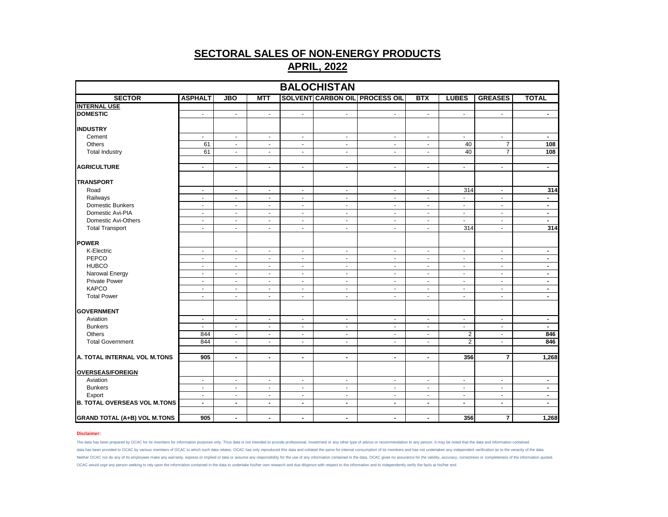| <b>BALOCHISTAN</b>                  |                |                |                |                |                |                                       |                          |                |                         |                |
|-------------------------------------|----------------|----------------|----------------|----------------|----------------|---------------------------------------|--------------------------|----------------|-------------------------|----------------|
| <b>SECTOR</b>                       | <b>ASPHALT</b> | <b>JBO</b>     | MTT            |                |                | <b>SOLVENT CARBON OIL PROCESS OIL</b> | <b>BTX</b>               | <b>LUBES</b>   | <b>GREASES</b>          | <b>TOTAL</b>   |
| <b>INTERNAL USE</b>                 |                |                |                |                |                |                                       |                          |                |                         |                |
| <b>DOMESTIC</b>                     | $\blacksquare$ | $\blacksquare$ | $\blacksquare$ | $\blacksquare$ | $\blacksquare$ | $\blacksquare$                        | $\blacksquare$           | $\blacksquare$ | $\blacksquare$          | $\blacksquare$ |
| <b>INDUSTRY</b>                     |                |                |                |                |                |                                       |                          |                |                         |                |
| Cement                              | $\blacksquare$ | $\blacksquare$ | $\blacksquare$ | $\blacksquare$ | $\blacksquare$ | $\blacksquare$                        | $\blacksquare$           | $\blacksquare$ | $\blacksquare$          | $\blacksquare$ |
| <b>Others</b>                       | 61             | $\sim$         | $\sim$         | $\sim$         | $\blacksquare$ | $\sim$                                | $\blacksquare$           | 40             | $\overline{7}$          | 108            |
| <b>Total Industry</b>               | 61             | $\omega$       | $\blacksquare$ | $\sim$         | $\omega$       | $\overline{\phantom{a}}$              | $\blacksquare$           | 40             | $\overline{7}$          | 108            |
| <b>AGRICULTURE</b>                  | $\sim$         | $\blacksquare$ | $\blacksquare$ | $\sim$         | $\blacksquare$ | $\blacksquare$                        | $\blacksquare$           | $\sim$         | $\blacksquare$          | $\blacksquare$ |
| <b>TRANSPORT</b>                    |                |                |                |                |                |                                       |                          |                |                         |                |
| Road                                | $\sim$         | $\sim$         | $\blacksquare$ | $\sim$         | $\blacksquare$ | $\sim$                                | $\blacksquare$           | 314            | $\sim$                  | 314            |
| Railways                            | $\blacksquare$ | $\sim$         | $\blacksquare$ | $\blacksquare$ | $\blacksquare$ | $\sim$                                | $\overline{\phantom{a}}$ | $\blacksquare$ | $\blacksquare$          | $\blacksquare$ |
| Domestic Bunkers                    | $\blacksquare$ | $\blacksquare$ | $\blacksquare$ | $\blacksquare$ | $\blacksquare$ | $\blacksquare$                        | $\blacksquare$           | $\blacksquare$ | $\blacksquare$          | $\blacksquare$ |
| Domestic Avi-PIA                    | $\sim$         | $\sim$         | $\sim$         | $\sim$         | $\sim$         | $\blacksquare$                        | $\sim$                   | $\sim$         | $\sim$                  | $\blacksquare$ |
| Domestic Avi-Others                 | $\blacksquare$ | $\blacksquare$ | $\blacksquare$ | $\blacksquare$ | $\blacksquare$ | $\blacksquare$                        | $\overline{\phantom{a}}$ | $\sim$         | $\blacksquare$          | $\blacksquare$ |
| <b>Total Transport</b>              | $\sim$         | $\blacksquare$ | $\blacksquare$ | $\sim$         | $\blacksquare$ | ä,                                    | $\overline{\phantom{a}}$ | 314            | $\blacksquare$          | 314            |
| <b>POWER</b>                        |                |                |                |                |                |                                       |                          |                |                         |                |
| K-Electric                          | $\blacksquare$ | $\blacksquare$ | $\blacksquare$ | $\blacksquare$ | $\blacksquare$ | $\blacksquare$                        | $\blacksquare$           | $\blacksquare$ | $\blacksquare$          | $\blacksquare$ |
| PEPCO                               | $\sim$         | $\blacksquare$ | $\sim$         | $\sim$         | $\omega$       | $\blacksquare$                        | $\blacksquare$           | $\sim$         | $\sim$                  | $\blacksquare$ |
| <b>HUBCO</b>                        | $\sim$         | $\blacksquare$ | $\blacksquare$ | $\sim$         | $\blacksquare$ | $\blacksquare$                        | $\sim$                   | $\sim$         | $\blacksquare$          | $\blacksquare$ |
| Narowal Energy                      | $\blacksquare$ | $\blacksquare$ | $\blacksquare$ | $\blacksquare$ | $\blacksquare$ | $\blacksquare$                        | $\overline{\phantom{a}}$ | $\blacksquare$ | $\blacksquare$          | $\blacksquare$ |
| <b>Private Power</b>                | $\sim$         | $\blacksquare$ | $\sim$         | $\sim$         | $\blacksquare$ | $\blacksquare$                        | $\blacksquare$           | $\sim$         | $\sim$                  | $\blacksquare$ |
| <b>KAPCO</b>                        | $\sim$         | $\blacksquare$ | $\blacksquare$ | $\sim$         | $\blacksquare$ | $\blacksquare$                        | $\blacksquare$           | $\sim$         | $\blacksquare$          | $\blacksquare$ |
| <b>Total Power</b>                  | $\blacksquare$ | $\blacksquare$ | $\blacksquare$ | $\blacksquare$ | $\blacksquare$ | $\blacksquare$                        | $\overline{\phantom{a}}$ | $\blacksquare$ | $\blacksquare$          | $\blacksquare$ |
| <b>GOVERNMENT</b>                   |                |                |                |                |                |                                       |                          |                |                         |                |
| Aviation                            | $\blacksquare$ | $\blacksquare$ | $\blacksquare$ | $\blacksquare$ | $\blacksquare$ | $\blacksquare$                        | $\blacksquare$           | $\blacksquare$ | $\blacksquare$          | $\blacksquare$ |
| <b>Bunkers</b>                      | $\sim$         | $\blacksquare$ | $\sim$         | $\sim$         | $\blacksquare$ | $\blacksquare$                        | $\overline{\phantom{a}}$ | $\sim$         | $\sim$                  | $\blacksquare$ |
| Others                              | 844            | $\blacksquare$ | $\blacksquare$ | $\sim$         | $\blacksquare$ | $\blacksquare$                        | $\blacksquare$           | $\overline{c}$ | $\blacksquare$          | 846            |
| <b>Total Government</b>             | 844            | $\blacksquare$ | $\blacksquare$ | $\blacksquare$ | $\blacksquare$ | $\blacksquare$                        | $\overline{\phantom{a}}$ | $\overline{2}$ | $\blacksquare$          | 846            |
|                                     |                |                |                |                |                |                                       |                          |                |                         |                |
| A. TOTAL INTERNAL VOL M.TONS        | 905            | $\blacksquare$ | $\blacksquare$ | $\blacksquare$ | $\blacksquare$ | $\blacksquare$                        | $\blacksquare$           | 356            | $\overline{7}$          | 1,268          |
| <b>OVERSEAS/FOREIGN</b>             |                |                |                |                |                |                                       |                          |                |                         |                |
| Aviation                            | $\blacksquare$ | $\sim$         | $\blacksquare$ | $\blacksquare$ | $\blacksquare$ | $\blacksquare$                        | $\overline{\phantom{a}}$ | $\sim$         | $\blacksquare$          | $\blacksquare$ |
| <b>Bunkers</b>                      | $\blacksquare$ | $\blacksquare$ | $\blacksquare$ | $\blacksquare$ | $\blacksquare$ | $\blacksquare$                        | $\blacksquare$           | $\blacksquare$ | $\blacksquare$          | $\blacksquare$ |
| Export                              | $\sim$         | $\sim$         | $\sim$         | $\sim$         | $\sim$         | $\blacksquare$                        | $\sim$                   | $\sim$         | $\sim$                  | $\blacksquare$ |
| <b>B. TOTAL OVERSEAS VOL M.TONS</b> | $\blacksquare$ | $\blacksquare$ | $\blacksquare$ | $\sim$         | $\blacksquare$ | $\blacksquare$                        | $\blacksquare$           | $\blacksquare$ | $\sim$                  | $\blacksquare$ |
| <b>GRAND TOTAL (A+B) VOL M.TONS</b> | 905            | $\blacksquare$ | $\blacksquare$ | $\blacksquare$ | $\blacksquare$ | $\blacksquare$                        | ٠                        | 356            | $\overline{\mathbf{r}}$ | 1,268          |

### **Disclaimer:**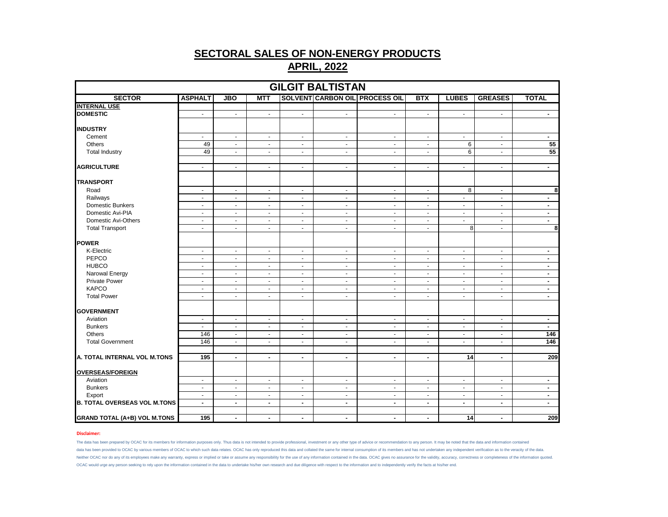| <b>GILGIT BALTISTAN</b>             |                          |                             |                          |                             |                |                                       |                |                          |                |                          |  |
|-------------------------------------|--------------------------|-----------------------------|--------------------------|-----------------------------|----------------|---------------------------------------|----------------|--------------------------|----------------|--------------------------|--|
| <b>SECTOR</b>                       | <b>ASPHALT</b>           | <b>JBO</b>                  | <b>MTT</b>               |                             |                | <b>SOLVENT CARBON OIL PROCESS OIL</b> | <b>BTX</b>     | <b>LUBES</b>             | <b>GREASES</b> | <b>TOTAL</b>             |  |
| <b>INTERNAL USE</b>                 |                          |                             |                          |                             |                |                                       |                |                          |                |                          |  |
| <b>DOMESTIC</b>                     | $\blacksquare$           | $\blacksquare$              | $\blacksquare$           | $\sim$                      | $\blacksquare$ | $\blacksquare$                        | $\blacksquare$ | $\blacksquare$           | $\bullet$      | $\sim$                   |  |
| <b>INDUSTRY</b>                     |                          |                             |                          |                             |                |                                       |                |                          |                |                          |  |
| Cement                              | $\sim$                   | $\blacksquare$              | $\blacksquare$           | $\sim$                      | $\blacksquare$ | $\blacksquare$                        | $\blacksquare$ | $\blacksquare$           | $\blacksquare$ | $\blacksquare$           |  |
| Others                              | 49                       | $\sim$                      | $\omega$                 | $\sim$                      | $\omega$       | $\omega$                              | $\blacksquare$ | 6                        | $\sim$         | 55                       |  |
| <b>Total Industry</b>               | 49                       | $\mathcal{L}_{\mathcal{C}}$ | $\blacksquare$           | $\blacksquare$              | $\blacksquare$ | $\blacksquare$                        | $\blacksquare$ | 6                        | $\blacksquare$ | 55                       |  |
|                                     |                          |                             |                          |                             |                |                                       |                |                          |                |                          |  |
| <b>AGRICULTURE</b>                  | $\omega$                 | $\sim$                      | $\omega$                 | $\sim$                      | $\omega$       | $\omega$                              | $\omega$       | ÷.                       | $\omega$       | $\blacksquare$           |  |
| <b>TRANSPORT</b>                    |                          |                             |                          |                             |                |                                       |                |                          |                |                          |  |
| Road                                | $\blacksquare$           | $\sim$                      | $\sim$                   | $\sim$                      | $\omega$       | $\omega$                              | $\omega$       | 8                        | $\sim$         | 8                        |  |
| Railways                            | $\overline{\phantom{a}}$ | $\blacksquare$              | $\blacksquare$           | $\mathcal{L}_{\mathcal{C}}$ | $\blacksquare$ | $\blacksquare$                        | $\blacksquare$ | $\blacksquare$           | $\blacksquare$ | $\blacksquare$           |  |
| Domestic Bunkers                    | $\blacksquare$           | $\sim$                      | $\blacksquare$           | $\sim$                      | $\sim$         | $\blacksquare$                        | $\sim$         | $\sim$                   | $\blacksquare$ | $\sim$                   |  |
| Domestic Avi-PIA                    | $\blacksquare$           | $\sim$                      | $\omega$                 | $\sim$                      | $\omega$       | $\omega$                              | $\blacksquare$ | ÷.                       | $\sim$         | $\blacksquare$           |  |
| Domestic Avi-Others                 | $\blacksquare$           | $\blacksquare$              | $\blacksquare$           | $\blacksquare$              | $\blacksquare$ | $\blacksquare$                        | $\blacksquare$ | $\blacksquare$           | $\blacksquare$ | $\blacksquare$           |  |
| <b>Total Transport</b>              | $\blacksquare$           | $\sim$                      | $\blacksquare$           | $\sim$                      | $\sim$         | $\blacksquare$                        | $\blacksquare$ | 8                        | $\blacksquare$ | 8                        |  |
|                                     |                          |                             |                          |                             |                |                                       |                |                          |                |                          |  |
| <b>POWER</b>                        |                          |                             |                          |                             |                |                                       |                |                          |                |                          |  |
| K-Electric                          | $\blacksquare$           | $\blacksquare$              | $\blacksquare$           | $\sim$                      | $\blacksquare$ | $\blacksquare$                        | $\blacksquare$ | $\blacksquare$           | $\blacksquare$ | $\blacksquare$           |  |
| PEPCO                               | $\blacksquare$           | $\sim$                      | $\sim$                   | $\sim$                      | $\omega$       | $\omega$                              | $\blacksquare$ | ÷.                       | $\sim$         | $\blacksquare$           |  |
| <b>HUBCO</b>                        | $\blacksquare$           | $\blacksquare$              | $\blacksquare$           | $\blacksquare$              | $\blacksquare$ | $\blacksquare$                        | $\blacksquare$ | $\blacksquare$           | $\blacksquare$ | $\blacksquare$           |  |
| Narowal Energy                      | $\blacksquare$           | $\sim$                      | $\blacksquare$           | $\sim$                      | $\sim$         | $\blacksquare$                        | $\blacksquare$ | $\sim$                   | $\blacksquare$ | $\sim$                   |  |
| <b>Private Power</b>                | $\omega$                 | $\sim$                      | $\sim$                   | $\sim$                      | $\omega$       | $\blacksquare$                        | $\blacksquare$ | ÷.                       | $\sim$         | $\blacksquare$           |  |
| <b>KAPCO</b>                        | $\blacksquare$           | $\blacksquare$              | $\blacksquare$           | $\mathcal{L}_{\mathcal{C}}$ | $\blacksquare$ | $\blacksquare$                        | $\blacksquare$ | $\blacksquare$           | $\blacksquare$ | $\blacksquare$           |  |
| <b>Total Power</b>                  | $\blacksquare$           | $\sim$                      | $\blacksquare$           | $\sim$                      | $\blacksquare$ | $\blacksquare$                        | $\blacksquare$ | $\sim$                   | $\blacksquare$ | $\sim$                   |  |
| <b>GOVERNMENT</b>                   |                          |                             |                          |                             |                |                                       |                |                          |                |                          |  |
| Aviation                            | $\blacksquare$           | $\blacksquare$              | $\blacksquare$           | $\sim$                      | $\blacksquare$ | $\blacksquare$                        | $\blacksquare$ | $\blacksquare$           | $\blacksquare$ | $\sim$                   |  |
| <b>Bunkers</b>                      | $\blacksquare$           | $\sim$                      | $\sim$                   | $\sim$                      | $\omega$       | $\blacksquare$                        | $\blacksquare$ | ÷.                       | $\sim$         | $\sim$                   |  |
| Others                              | 146                      | $\blacksquare$              | $\blacksquare$           | $\blacksquare$              | $\blacksquare$ | $\blacksquare$                        | $\blacksquare$ | $\blacksquare$           | $\blacksquare$ | 146                      |  |
| <b>Total Government</b>             | 146                      | $\blacksquare$              | $\blacksquare$           | $\sim$                      | $\sim$         | $\blacksquare$                        | $\blacksquare$ | $\blacksquare$           | $\blacksquare$ | $\frac{146}{2}$          |  |
|                                     |                          |                             |                          |                             |                |                                       |                |                          |                |                          |  |
| A. TOTAL INTERNAL VOL M.TONS        | 195                      | $\blacksquare$              | $\overline{\phantom{a}}$ | $\blacksquare$              | $\blacksquare$ | $\blacksquare$                        | $\blacksquare$ | $\overline{14}$          | $\blacksquare$ | 209                      |  |
| <b>OVERSEAS/FOREIGN</b>             |                          |                             |                          |                             |                |                                       |                |                          |                |                          |  |
| Aviation                            | $\overline{\phantom{a}}$ | $\blacksquare$              | $\blacksquare$           | $\sim$                      | $\blacksquare$ | $\blacksquare$                        | $\sim$         | $\blacksquare$           | $\blacksquare$ | $\overline{\phantom{a}}$ |  |
| <b>Bunkers</b>                      | $\blacksquare$           | $\sim$                      | $\blacksquare$           | $\sim$                      | $\sim$         | $\blacksquare$                        | $\sim$         | $\sim$                   | $\blacksquare$ | $\sim$                   |  |
| Export                              | $\blacksquare$           | $\sim$                      | $\sim$                   | $\sim$                      | $\omega$       | $\blacksquare$                        | $\blacksquare$ | ÷.                       | $\sim$         | $\blacksquare$           |  |
| <b>B. TOTAL OVERSEAS VOL M.TONS</b> | $\blacksquare$           | $\blacksquare$              | $\blacksquare$           | $\blacksquare$              | $\blacksquare$ | $\blacksquare$                        | $\blacksquare$ | $\overline{\phantom{a}}$ | $\blacksquare$ | $\blacksquare$           |  |
|                                     |                          |                             |                          |                             |                |                                       |                |                          |                |                          |  |
| <b>GRAND TOTAL (A+B) VOL M.TONS</b> | 195                      | $\sim$                      | $\blacksquare$           | $\sim$                      | $\blacksquare$ | $\blacksquare$                        | $\blacksquare$ | 14                       | $\blacksquare$ | 209                      |  |

### **Disclaimer:**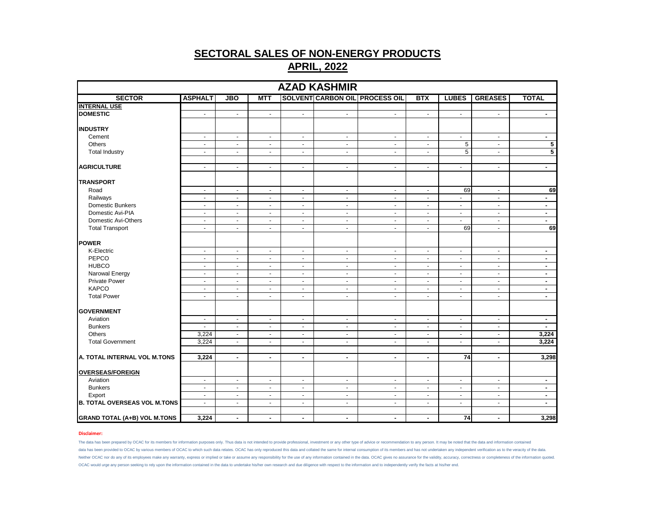|                                     |                |                          |                |                | <b>AZAD KASHMIR</b>         |                                       |                |                 |                |                |
|-------------------------------------|----------------|--------------------------|----------------|----------------|-----------------------------|---------------------------------------|----------------|-----------------|----------------|----------------|
| <b>SECTOR</b>                       | <b>ASPHALT</b> | <b>JBO</b>               | <b>MTT</b>     |                |                             | <b>SOLVENT CARBON OIL PROCESS OIL</b> | <b>BTX</b>     | <b>LUBES</b>    | <b>GREASES</b> | <b>TOTAL</b>   |
| <b>INTERNAL USE</b>                 |                |                          |                |                |                             |                                       |                |                 |                |                |
| <b>DOMESTIC</b>                     | $\sim$         | $\mathbf{r}$             | $\blacksquare$ | $\mathcal{L}$  | $\mathcal{L}_{\mathcal{A}}$ | $\sim$                                | $\blacksquare$ | $\omega$        | $\sim$         | $\sim$         |
|                                     |                |                          |                |                |                             |                                       |                |                 |                |                |
| <b>INDUSTRY</b>                     |                |                          |                |                |                             |                                       |                |                 |                |                |
| Cement                              | $\blacksquare$ | $\blacksquare$           | $\blacksquare$ | $\sim$         | $\blacksquare$              | $\blacksquare$                        | $\sim$         | $\blacksquare$  | $\blacksquare$ | $\sim$         |
| <b>Others</b>                       | $\omega$       | $\omega$                 | $\omega$       | $\omega$       | $\omega$                    | $\blacksquare$                        | $\sim$         | 5               | $\omega$       | 5              |
| <b>Total Industry</b>               | $\blacksquare$ | $\blacksquare$           | $\blacksquare$ | $\blacksquare$ | $\blacksquare$              | $\blacksquare$                        | $\blacksquare$ | $\overline{5}$  | $\blacksquare$ | $\overline{5}$ |
|                                     |                |                          |                |                |                             |                                       |                |                 |                |                |
| <b>AGRICULTURE</b>                  | $\sim$         | $\blacksquare$           | $\sim$         | $\sim$         | $\blacksquare$              | $\blacksquare$                        | $\sim$         | $\blacksquare$  | $\blacksquare$ | $\sim$         |
| <b>TRANSPORT</b>                    |                |                          |                |                |                             |                                       |                |                 |                |                |
| Road                                | $\sim$         | $\sim$                   | $\sim$         | $\sim$         | $\sim$                      | $\blacksquare$                        | $\sim$         | 69              | $\sim$         | 69             |
| Railways                            | $\blacksquare$ | $\blacksquare$           | $\blacksquare$ | $\blacksquare$ | $\blacksquare$              | $\overline{\phantom{a}}$              | $\omega$       | $\omega$        | $\blacksquare$ | $\blacksquare$ |
| Domestic Bunkers                    | $\sim$         | $\sim$                   | $\sim$         | $\sim$         | $\sim$                      | $\blacksquare$                        | $\blacksquare$ | $\blacksquare$  | $\sim$         | $\sim$         |
| Domestic Avi-PIA                    | $\sim$         | $\sim$                   | $\sim$         | $\blacksquare$ | $\sim$                      | $\blacksquare$                        | $\blacksquare$ | $\blacksquare$  | $\blacksquare$ | $\blacksquare$ |
| Domestic Avi-Others                 | $\sim$         | $\blacksquare$           | $\sim$         | $\omega$       | $\omega$                    | $\tilde{\phantom{a}}$                 | $\sim$         | $\blacksquare$  | $\omega$       | $\blacksquare$ |
| <b>Total Transport</b>              | $\sim$         | ÷.                       | $\sim$         | $\omega$       | $\sim$                      | $\blacksquare$                        | $\omega$       | 69              | $\sim$         | 69             |
|                                     |                |                          |                |                |                             |                                       |                |                 |                |                |
| <b>POWER</b>                        |                |                          |                |                |                             |                                       |                |                 |                |                |
| K-Electric                          | $\blacksquare$ | $\bullet$                | $\sim$         | $\sim$         | $\bullet$                   | $\blacksquare$                        | $\blacksquare$ | $\blacksquare$  | $\blacksquare$ | $\sim$         |
| PEPCO                               | $\blacksquare$ | $\sim$                   | $\blacksquare$ | $\blacksquare$ | $\blacksquare$              | $\blacksquare$                        | $\blacksquare$ | $\blacksquare$  | $\blacksquare$ | $\sim$         |
| <b>HUBCO</b>                        | $\blacksquare$ | $\blacksquare$           | $\sim$         | $\blacksquare$ | $\blacksquare$              | $\blacksquare$                        | $\blacksquare$ | $\blacksquare$  | $\blacksquare$ | $\blacksquare$ |
| Narowal Energy                      | $\sim$         | $\blacksquare$           | $\sim$         | $\sim$         | $\bullet$                   | $\blacksquare$                        | $\blacksquare$ | $\blacksquare$  | $\blacksquare$ | $\blacksquare$ |
| <b>Private Power</b>                | $\blacksquare$ | $\blacksquare$           | $\sim$         | $\blacksquare$ | $\blacksquare$              | $\blacksquare$                        | $\blacksquare$ | $\blacksquare$  | $\blacksquare$ | $\blacksquare$ |
| <b>KAPCO</b>                        | $\omega$       | $\blacksquare$           | $\omega$       | $\sim$         | $\omega$                    | $\blacksquare$                        | $\sim$         | $\omega$        | $\blacksquare$ | $\blacksquare$ |
| <b>Total Power</b>                  | $\sim$         | $\sim$                   | $\sim$         | $\sim$         | $\sim$                      | $\sim$                                | $\sim$         | $\sim$          | $\blacksquare$ | $\sim$         |
| <b>GOVERNMENT</b>                   |                |                          |                |                |                             |                                       |                |                 |                |                |
| Aviation                            | $\blacksquare$ | $\blacksquare$           | $\sim$         | $\sim$         | $\blacksquare$              | $\blacksquare$                        | $\blacksquare$ | $\blacksquare$  | $\blacksquare$ | $\blacksquare$ |
| <b>Bunkers</b>                      | $\sim$         | ÷.                       | $\sim$         | $\blacksquare$ | $\blacksquare$              | $\blacksquare$                        | $\blacksquare$ | $\blacksquare$  | $\blacksquare$ | $\sim$         |
| <b>Others</b>                       | 3,224          | $\blacksquare$           | $\omega$       | $\omega$       | $\blacksquare$              | $\blacksquare$                        | $\sim$         | $\omega$        | $\omega$       | 3,224          |
| <b>Total Government</b>             | 3,224          | $\blacksquare$           | $\sim$         | $\sim$         | $\sim$                      | $\overline{\phantom{a}}$              | $\sim$         | $\blacksquare$  | $\blacksquare$ | 3,224          |
|                                     |                |                          |                |                |                             |                                       |                |                 |                |                |
| A. TOTAL INTERNAL VOL M.TONS        | 3,224          | $\overline{\phantom{a}}$ | $\blacksquare$ | $\blacksquare$ | $\blacksquare$              | $\blacksquare$                        | $\blacksquare$ | $\overline{74}$ | $\blacksquare$ | 3,298          |
|                                     |                |                          |                |                |                             |                                       |                |                 |                |                |
| <b>OVERSEAS/FOREIGN</b>             |                |                          |                |                |                             |                                       |                |                 |                |                |
| Aviation                            | $\sim$         | $\omega$                 | $\sim$         | $\sim$         | $\omega$                    | $\blacksquare$                        | $\omega$       | $\blacksquare$  | $\sim$         | $\blacksquare$ |
| <b>Bunkers</b>                      | $\blacksquare$ | $\blacksquare$           | $\sim$         | $\sim$         | $\blacksquare$              | $\blacksquare$                        | $\blacksquare$ | $\blacksquare$  | $\blacksquare$ | $\sim$         |
| Export                              | $\omega$       | ÷.                       | $\omega$       | $\omega$       | $\omega$                    | $\blacksquare$                        | $\sim$         | $\blacksquare$  | $\blacksquare$ | $\blacksquare$ |
| <b>B. TOTAL OVERSEAS VOL M.TONS</b> | $\omega$       | $\mathbf{r}$             | $\omega$       | $\blacksquare$ | $\omega$                    | $\blacksquare$                        | $\sim$         | $\omega$        | $\omega$       | $\blacksquare$ |
|                                     |                |                          |                |                |                             |                                       |                |                 |                |                |
| <b>GRAND TOTAL (A+B) VOL M.TONS</b> | 3,224          | $\blacksquare$           | $\blacksquare$ | $\blacksquare$ | $\blacksquare$              | $\blacksquare$                        | $\blacksquare$ | 74              | $\blacksquare$ | 3,298          |

### **Disclaimer:**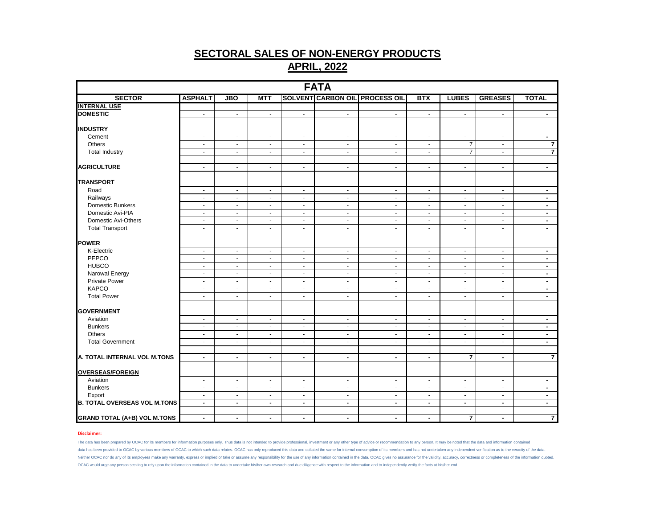| <b>FATA</b>                         |                |                          |                |                |                          |                                       |                             |                             |                             |                         |  |
|-------------------------------------|----------------|--------------------------|----------------|----------------|--------------------------|---------------------------------------|-----------------------------|-----------------------------|-----------------------------|-------------------------|--|
| <b>SECTOR</b>                       | <b>ASPHALT</b> | <b>JBO</b>               | MTT            |                |                          | <b>SOLVENT CARBON OIL PROCESS OIL</b> | <b>BTX</b>                  | <b>LUBES</b>                | <b>GREASES</b>              | <b>TOTAL</b>            |  |
| <b>INTERNAL USE</b>                 |                |                          |                |                |                          |                                       |                             |                             |                             |                         |  |
| <b>DOMESTIC</b>                     | $\omega$       | $\blacksquare$           | $\omega$       | $\sim$         | $\sim$                   | $\blacksquare$                        | $\mathbf{r}$                | $\sim$                      | $\omega$                    | $\sim$                  |  |
| <b>INDUSTRY</b>                     |                |                          |                |                |                          |                                       |                             |                             |                             |                         |  |
| Cement                              | $\sim$         | $\sim$                   | $\sim$         | $\sim$         | $\blacksquare$           | $\blacksquare$                        | $\sim$                      | $\sim$                      | $\mathcal{L}_{\mathcal{A}}$ | $\sim$                  |  |
| Others                              | $\sim$         | $\sim$                   | $\blacksquare$ | $\blacksquare$ | $\blacksquare$           | $\blacksquare$                        | $\blacksquare$              | $\overline{7}$              | $\sim$                      | $\overline{\mathbf{r}}$ |  |
| <b>Total Industry</b>               | $\blacksquare$ | $\blacksquare$           | $\omega$       | $\omega$       | $\blacksquare$           | ä,                                    | $\blacksquare$              | $\overline{7}$              | $\omega$                    | $\overline{\mathbf{7}}$ |  |
| <b>AGRICULTURE</b>                  | $\blacksquare$ | $\blacksquare$           | $\blacksquare$ | $\blacksquare$ | $\blacksquare$           | $\blacksquare$                        | $\blacksquare$              | $\blacksquare$              | $\blacksquare$              | $\sim$                  |  |
| <b>TRANSPORT</b>                    |                |                          |                |                |                          |                                       |                             |                             |                             |                         |  |
| Road                                | $\blacksquare$ | $\blacksquare$           | $\blacksquare$ | $\blacksquare$ | $\blacksquare$           | $\blacksquare$                        | $\blacksquare$              | $\sim$                      | $\blacksquare$              | $\sim$                  |  |
| Railways                            | $\blacksquare$ | $\blacksquare$           | $\blacksquare$ | $\blacksquare$ | $\overline{\phantom{a}}$ | $\sim$                                | $\blacksquare$              | $\blacksquare$              | $\sim$                      | $\blacksquare$          |  |
| Domestic Bunkers                    | $\sim$         | $\sim$                   | $\sim$         | $\sim$         | $\sim$                   | $\blacksquare$                        | $\sim$                      | $\sim$                      | $\sim$                      | $\sim$                  |  |
| Domestic Avi-PIA                    | $\sim$         | $\blacksquare$           | $\blacksquare$ | $\blacksquare$ | $\blacksquare$           | $\blacksquare$                        | $\blacksquare$              | $\sim$                      | $\blacksquare$              | $\sim$                  |  |
| Domestic Avi-Others                 | $\omega$       | $\blacksquare$           | $\blacksquare$ | $\omega$       | $\overline{\phantom{a}}$ | $\sim$                                | $\sim$                      | $\omega$                    | $\sim$                      | $\blacksquare$          |  |
| <b>Total Transport</b>              | $\blacksquare$ | $\blacksquare$           | $\sim$         | $\omega$       | $\sim$                   | $\blacksquare$                        | $\blacksquare$              | $\sim$                      | $\sim$                      | $\sim$                  |  |
| <b>POWER</b>                        |                |                          |                |                |                          |                                       |                             |                             |                             |                         |  |
| K-Electric                          | $\sim$         | $\blacksquare$           | $\blacksquare$ | $\sim$         | $\blacksquare$           | $\blacksquare$                        | $\mathcal{L}_{\mathcal{A}}$ | $\sim$                      | $\mathcal{L}_{\mathcal{A}}$ | $\sim$                  |  |
| PEPCO                               | $\blacksquare$ | $\blacksquare$           | $\blacksquare$ | $\blacksquare$ | $\sim$                   | $\blacksquare$                        | $\blacksquare$              | $\sim$                      | $\blacksquare$              | $\sim$                  |  |
| <b>HUBCO</b>                        | $\blacksquare$ | $\blacksquare$           | $\blacksquare$ | $\blacksquare$ | $\blacksquare$           | $\blacksquare$                        | $\blacksquare$              | $\sim$                      | $\blacksquare$              | $\blacksquare$          |  |
| Narowal Energy                      | $\blacksquare$ | $\blacksquare$           | $\sim$         | $\blacksquare$ | $\sim$                   | $\blacksquare$                        | $\blacksquare$              | $\sim$                      | $\sim$                      | $\sim$                  |  |
| Private Power                       | $\omega$       | $\mathbf{r}$             | $\mathbf{r}$   | $\omega$       | $\omega$                 | $\blacksquare$                        | $\sim$                      | $\omega$                    | $\omega$                    | $\sim$                  |  |
| <b>KAPCO</b>                        | $\blacksquare$ | $\overline{\phantom{a}}$ | $\blacksquare$ | $\blacksquare$ | $\blacksquare$           | $\blacksquare$                        | $\blacksquare$              | $\sim$                      | $\blacksquare$              | $\blacksquare$          |  |
| <b>Total Power</b>                  | $\sim$         | $\sim$                   | $\sim$         | $\omega$       | $\sim$                   | $\blacksquare$                        | $\sim$                      | $\sim$                      | $\mathcal{L}_{\mathcal{A}}$ | $\sim$                  |  |
| <b>GOVERNMENT</b>                   |                |                          |                |                |                          |                                       |                             |                             |                             |                         |  |
| Aviation                            | $\blacksquare$ | $\blacksquare$           | $\omega$       | $\mathcal{L}$  | $\sim$                   | $\blacksquare$                        | $\blacksquare$              | $\mathcal{L}_{\mathcal{A}}$ | $\sim$                      | $\blacksquare$          |  |
| <b>Bunkers</b>                      | $\blacksquare$ | $\blacksquare$           | $\blacksquare$ | $\blacksquare$ | $\blacksquare$           | $\blacksquare$                        | $\blacksquare$              | $\blacksquare$              | $\blacksquare$              | $\sim$                  |  |
| Others                              | $\blacksquare$ | $\overline{\phantom{a}}$ | $\blacksquare$ | $\blacksquare$ | $\blacksquare$           | $\blacksquare$                        | $\blacksquare$              | $\blacksquare$              | $\blacksquare$              | $\blacksquare$          |  |
| <b>Total Government</b>             | $\sim$         | $\blacksquare$           | $\sim$         | $\sim$         | $\sim$                   | $\blacksquare$                        | $\blacksquare$              | $\sim$                      | $\sim$                      | $\sim$                  |  |
|                                     |                |                          |                |                |                          |                                       |                             |                             |                             |                         |  |
| A. TOTAL INTERNAL VOL M.TONS        | $\blacksquare$ | $\blacksquare$           | $\blacksquare$ | $\blacksquare$ | $\blacksquare$           | $\blacksquare$                        | $\blacksquare$              | $\overline{\mathbf{r}}$     | $\blacksquare$              | $\overline{\mathbf{r}}$ |  |
| <b>OVERSEAS/FOREIGN</b>             |                |                          |                |                |                          |                                       |                             |                             |                             |                         |  |
| Aviation                            | $\sim$         | $\mathbf{r}$             | $\mathbf{r}$   | $\omega$       | $\omega$                 | $\blacksquare$                        | $\sim$                      | $\sim$                      | $\omega$                    | $\blacksquare$          |  |
| <b>Bunkers</b>                      | $\blacksquare$ | $\blacksquare$           | $\sim$         | $\blacksquare$ | $\blacksquare$           | $\blacksquare$                        | $\blacksquare$              | $\sim$                      | $\sim$                      | $\sim$                  |  |
| Export                              | $\blacksquare$ | $\blacksquare$           | $\blacksquare$ | $\blacksquare$ | $\blacksquare$           | $\blacksquare$                        | $\blacksquare$              | $\blacksquare$              | $\blacksquare$              | $\sim$                  |  |
| <b>B. TOTAL OVERSEAS VOL M.TONS</b> | $\blacksquare$ | $\blacksquare$           | $\blacksquare$ | $\blacksquare$ | $\blacksquare$           | $\blacksquare$                        | $\blacksquare$              | $\blacksquare$              | $\blacksquare$              | $\sim$                  |  |
| <b>GRAND TOTAL (A+B) VOL M.TONS</b> | $\blacksquare$ | $\blacksquare$           | $\blacksquare$ | $\blacksquare$ | $\blacksquare$           | $\blacksquare$                        | $\blacksquare$              | $\overline{7}$              | $\blacksquare$              | $\overline{7}$          |  |

### **Disclaimer:**